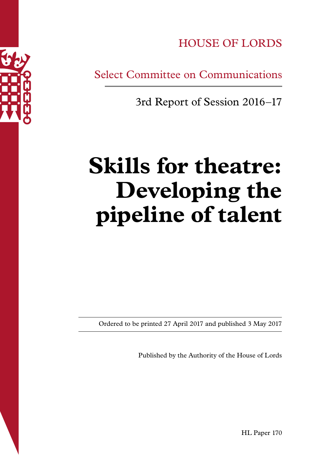

HOUSE OF LORDS

Select Committee on Communications

3rd Report of Session 2016–17

# **Skills for theatre: Developing the pipeline of talent**

Ordered to be printed 27 April 2017 and published 3 May 2017

Published by the Authority of the House of Lords

HL Paper 170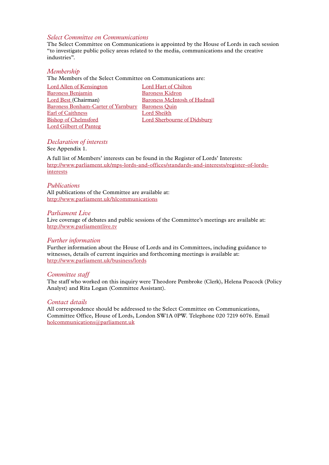# *Select Committee on Communications*

The Select Committee on Communications is appointed by the House of Lords in each session "to investigate public policy areas related to the media, communications and the creative industries".

#### *Membership*

The Members of the Select Committee on Communications are:

| <b>Lord Allen of Kensington</b>           | <b>Lord Hart of Chilton</b>         |
|-------------------------------------------|-------------------------------------|
| <b>Baroness Benjamin</b>                  | <b>Baroness Kidron</b>              |
| Lord Best (Chairman)                      | <b>Baroness McIntosh of Hudnall</b> |
| <b>Baroness Bonham-Carter of Yarnbury</b> | <b>Baroness Quin</b>                |
| Earl of Caithness                         | Lord Sheikh                         |
| <b>Bishop of Chelmsford</b>               | Lord Sherbourne of Didsbury         |
| <b>Lord Gilbert of Panteg</b>             |                                     |

# *Declaration of interests*

See Appendix 1.

A full list of Members' interests can be found in the Register of Lords' Interests: [http://www.parliament.uk/mps-lords-and-offices/standards-and-interests/register-of-lords](http://www.parliament.uk/mps-lords-and-offices/standards-and-interests/register-of-lords-interests)[interests](http://www.parliament.uk/mps-lords-and-offices/standards-and-interests/register-of-lords-interests)

#### *Publications*

All publications of the Committee are available at: <http://www.parliament.uk/hlcommunications>

#### *Parliament Live*

Live coverage of debates and public sessions of the Committee's meetings are available at: <http://www.parliamentlive.tv>

#### *Further information*

Further information about the House of Lords and its Committees, including guidance to witnesses, details of current inquiries and forthcoming meetings is available at: <http://www.parliament.uk/business/lords>

#### *Committee staff*

The staff who worked on this inquiry were Theodore Pembroke (Clerk), Helena Peacock (Policy Analyst) and Rita Logan (Committee Assistant).

#### *Contact details*

All correspondence should be addressed to the Select Committee on Communications, Committee Office, House of Lords, London SW1A 0PW. Telephone 020 7219 6076. Email holcommunications@parliament.uk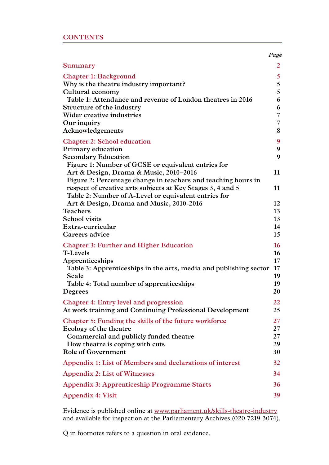| <b>CONTENTS</b> |  |  |  |
|-----------------|--|--|--|
|                 |  |  |  |

|                                                                                                                                                                                                                           | Page                                        |
|---------------------------------------------------------------------------------------------------------------------------------------------------------------------------------------------------------------------------|---------------------------------------------|
| Summary                                                                                                                                                                                                                   | 2                                           |
| <b>Chapter 1: Background</b><br>Why is the theatre industry important?<br>Cultural economy                                                                                                                                | 5<br>5<br>5                                 |
| Table 1: Attendance and revenue of London theatres in 2016<br>Structure of the industry                                                                                                                                   | 6<br>6                                      |
| Wider creative industries<br>Our inquiry<br>Acknowledgements                                                                                                                                                              | 7<br>$\overline{7}$<br>8                    |
| <b>Chapter 2: School education</b><br>Primary education                                                                                                                                                                   | 9<br>9                                      |
| <b>Secondary Education</b><br>Figure 1: Number of GCSE or equivalent entries for                                                                                                                                          | 9                                           |
| Art & Design, Drama & Music, 2010-2016<br>Figure 2: Percentage change in teachers and teaching hours in<br>respect of creative arts subjects at Key Stages 3, 4 and 5                                                     | 11<br>11                                    |
| Table 2: Number of A-Level or equivalent entries for<br>Art & Design, Drama and Music, 2010-2016<br><b>Teachers</b>                                                                                                       | 12<br>13                                    |
| <b>School visits</b><br>Extra-curricular<br>Careers advice                                                                                                                                                                | 13<br>14<br>15                              |
| <b>Chapter 3: Further and Higher Education</b><br><b>T-Levels</b><br>Apprenticeships<br>Table 3: Apprenticeships in the arts, media and publishing sector<br>Scale<br>Table 4: Total number of apprenticeships<br>Degrees | 16<br>16<br>17<br>$17 \,$<br>19<br>19<br>20 |
| <b>Chapter 4: Entry level and progression</b><br>At work training and Continuing Professional Development                                                                                                                 | 22<br>25                                    |
| Chapter 5: Funding the skills of the future workforce<br>Ecology of the theatre<br>Commercial and publicly funded theatre<br>How theatre is coping with cuts<br><b>Role of Government</b>                                 | 27<br>27<br>27<br>29<br>30                  |
| Appendix 1: List of Members and declarations of interest                                                                                                                                                                  | 32                                          |
| <b>Appendix 2: List of Witnesses</b>                                                                                                                                                                                      | 34                                          |
| <b>Appendix 3: Apprenticeship Programme Starts</b>                                                                                                                                                                        | 36                                          |
| Appendix 4: Visit                                                                                                                                                                                                         | 39                                          |

Evidence is published online at [www.parliament.uk/s](http://www.parliament.uk/skills-theatre-industry )kills-theatre-industry and available for inspection at the Parliamentary Archives (020 7219 3074).

Q in footnotes refers to a question in oral evidence.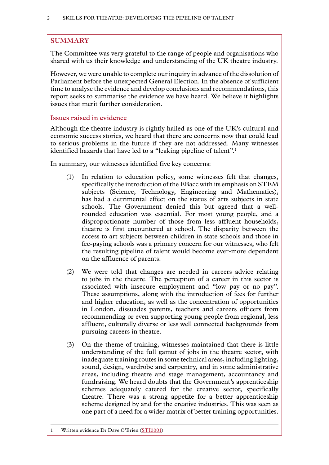# <span id="page-3-0"></span>**SUMMARY**

The Committee was very grateful to the range of people and organisations who shared with us their knowledge and understanding of the UK theatre industry.

However, we were unable to complete our inquiry in advance of the dissolution of Parliament before the unexpected General Election. In the absence of sufficient time to analyse the evidence and develop conclusions and recommendations, this report seeks to summarise the evidence we have heard. We believe it highlights issues that merit further consideration.

# **Issues raised in evidence**

Although the theatre industry is rightly hailed as one of the UK's cultural and economic success stories, we heard that there are concerns now that could lead to serious problems in the future if they are not addressed. Many witnesses identified hazards that have led to a "leaking pipeline of talent".<sup>1</sup>

In summary, our witnesses identified five key concerns:

- (1) In relation to education policy, some witnesses felt that changes, specifically the introduction of the EBacc with its emphasis on STEM subjects (Science, Technology, Engineering and Mathematics), has had a detrimental effect on the status of arts subjects in state schools. The Government denied this but agreed that a wellrounded education was essential. For most young people, and a disproportionate number of those from less affluent households, theatre is first encountered at school. The disparity between the access to art subjects between children in state schools and those in fee-paying schools was a primary concern for our witnesses, who felt the resulting pipeline of talent would become ever-more dependent on the affluence of parents.
- (2) We were told that changes are needed in careers advice relating to jobs in the theatre. The perception of a career in this sector is associated with insecure employment and "low pay or no pay". These assumptions, along with the introduction of fees for further and higher education, as well as the concentration of opportunities in London, dissuades parents, teachers and careers officers from recommending or even supporting young people from regional, less affluent, culturally diverse or less well connected backgrounds from pursuing careers in theatre.
- (3) On the theme of training, witnesses maintained that there is little understanding of the full gamut of jobs in the theatre sector, with inadequate training routes in some technical areas, including lighting, sound, design, wardrobe and carpentry, and in some administrative areas, including theatre and stage management, accountancy and fundraising. We heard doubts that the Government's apprenticeship schemes adequately catered for the creative sector, specifically theatre. There was a strong appetite for a better apprenticeship scheme designed by and for the creative industries. This was seen as one part of a need for a wider matrix of better training opportunities.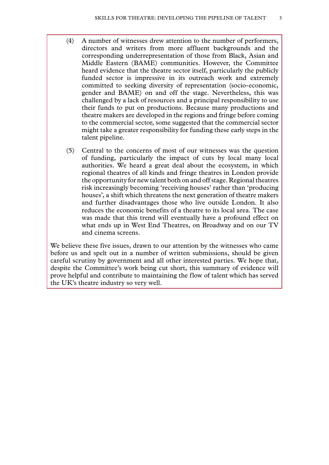- (4) A number of witnesses drew attention to the number of performers, directors and writers from more affluent backgrounds and the corresponding underrepresentation of those from Black, Asian and Middle Eastern (BAME) communities. However, the Committee heard evidence that the theatre sector itself, particularly the publicly funded sector is impressive in its outreach work and extremely committed to seeking diversity of representation (socio-economic, gender and BAME) on and off the stage. Nevertheless, this was challenged by a lack of resources and a principal responsibility to use their funds to put on productions. Because many productions and theatre makers are developed in the regions and fringe before coming to the commercial sector, some suggested that the commercial sector might take a greater responsibility for funding these early steps in the talent pipeline.
- (5) Central to the concerns of most of our witnesses was the question of funding, particularly the impact of cuts by local many local authorities. We heard a great deal about the ecosystem, in which regional theatres of all kinds and fringe theatres in London provide the opportunity for new talent both on and off stage. Regional theatres risk increasingly becoming 'receiving houses' rather than 'producing houses', a shift which threatens the next generation of theatre makers and further disadvantages those who live outside London. It also reduces the economic benefits of a theatre to its local area. The case was made that this trend will eventually have a profound effect on what ends up in West End Theatres, on Broadway and on our TV and cinema screens.

We believe these five issues, drawn to our attention by the witnesses who came before us and spelt out in a number of written submissions, should be given careful scrutiny by government and all other interested parties. We hope that, despite the Committee's work being cut short, this summary of evidence will prove helpful and contribute to maintaining the flow of talent which has served the UK's theatre industry so very well.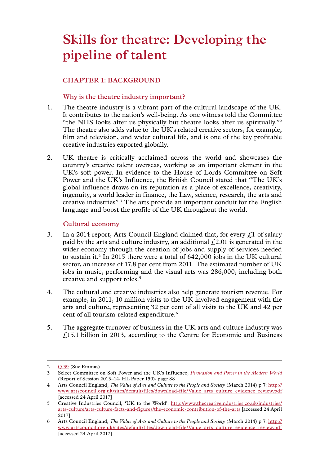# <span id="page-6-0"></span>**Skills for theatre: Developing the pipeline of talent**

# **Chapter 1: BACKGROUND**

# **Why is the theatre industry important?**

- 1. The theatre industry is a vibrant part of the cultural landscape of the UK. It contributes to the nation's well-being. As one witness told the Committee "the NHS looks after us physically but theatre looks after us spiritually."2 The theatre also adds value to the UK's related creative sectors, for example, film and television, and wider cultural life, and is one of the key profitable creative industries exported globally.
- 2. UK theatre is critically acclaimed across the world and showcases the country's creative talent overseas, working as an important element in the UK's soft power. In evidence to the House of Lords Committee on Soft Power and the UK's Influence, the British Council stated that "The UK's global influence draws on its reputation as a place of excellence, creativity, ingenuity, a world leader in finance, the Law, science, research, the arts and creative industries".<sup>3</sup> The arts provide an important conduit for the English language and boost the profile of the UK throughout the world.

# **Cultural economy**

- 3. In a 2014 report, Arts Council England claimed that, for every  $\ell$ , 1 of salary paid by the arts and culture industry, an additional  $\text{\emph{L}}2.01$  is generated in the wider economy through the creation of jobs and supply of services needed to sustain it.<sup>4</sup> In 2015 there were a total of  $642,000$  jobs in the UK cultural sector, an increase of 17.8 per cent from 2011. The estimated number of UK jobs in music, performing and the visual arts was 286,000, including both creative and support roles.<sup>5</sup>
- 4. The cultural and creative industries also help generate tourism revenue. For example, in 2011, 10 million visits to the UK involved engagement with the arts and culture, representing 32 per cent of all visits to the UK and 42 per cent of all tourism-related expenditure.<sup>6</sup>
- 5. The aggregate turnover of business in the UK arts and culture industry was £15.1 billion in 2013, according to the Centre for Economic and Business

 $2 \qquad Q$  [39](http://data.parliament.uk/writtenevidence/committeeevidence.svc/evidencedocument/communications-committee/skills-for-the-theatre-industry/oral/49657.html) (Sue Emmas)

<sup>3</sup> Select Committee on Soft Power and the UK's Influence, *[Persuasion and Power in the Modern World](https://www.publications.parliament.uk/pa/ld201314/ldselect/ldsoftpower/150/150.pdf)* (Report of Session 2013–14, HL Paper 150), page 88

<sup>4</sup> Arts Council England, *The Value of Arts and Culture to the People and Society* (March 2014) p 7: [http://](http://www.artscouncil.org.uk/sites/default/files/download-file/Value_arts_culture_evidence_review.pdf) [www.artscouncil.org.uk/sites/default/files/download-file/Value\\_arts\\_culture\\_evidence\\_review.pdf](http://www.artscouncil.org.uk/sites/default/files/download-file/Value_arts_culture_evidence_review.pdf) [accessed 24 April 2017]

<sup>5</sup> Creative Industries Council, 'UK to the World': [http://www.thecreativeindustries.co.uk/industries/](http://www.thecreativeindustries.co.uk/industries/arts-culture/arts-culture-facts-and-figures/the-economic-contribution-of-the-arts) [arts-culture/arts-culture-facts-and-figures/the-economic-contribution-of-the-arts](http://www.thecreativeindustries.co.uk/industries/arts-culture/arts-culture-facts-and-figures/the-economic-contribution-of-the-arts) [accessed 24 April 2017]

<sup>6</sup> Arts Council England, *The Value of Arts and Culture to the People and Society* (March 2014) p 7: [http://](http://www.artscouncil.org.uk/sites/default/files/download-file/Value_arts_culture_evidence_review.pdf) [www.artscouncil.org.uk/sites/default/files/download-file/Value\\_arts\\_culture\\_evidence\\_review.pdf](http://www.artscouncil.org.uk/sites/default/files/download-file/Value_arts_culture_evidence_review.pdf) [accessed 24 April 2017]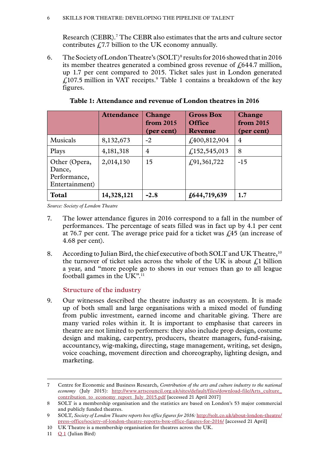<span id="page-7-0"></span>Research (CEBR).7 The CEBR also estimates that the arts and culture sector contributes  $f<sub>1</sub>7.7$  billion to the UK economy annually.

6. The Society of London Theatre's  $(SOLT)^8$  results for 2016 showed that in 2016 its member theatres generated a combined gross revenue of  $\ell$  644.7 million, up 1.7 per cent compared to 2015. Ticket sales just in London generated  $\text{\emph{£}}107.5$  million in VAT receipts.<sup>9</sup> Table 1 contains a breakdown of the key figures.

|                                                           | <b>Attendance</b> | <b>Change</b><br>from 2015<br>(per cent) | <b>Gross Box</b><br><b>Office</b><br><b>Revenue</b> | <b>Change</b><br>from 2015<br>(per cent) |
|-----------------------------------------------------------|-------------------|------------------------------------------|-----------------------------------------------------|------------------------------------------|
| Musicals                                                  | 8,132,673         | $-2$                                     | £400,812,904                                        | 4                                        |
| Plays                                                     | 4, 181, 318       | 4                                        | f(152, 545, 013)                                    | 8                                        |
| Other (Opera,<br>Dance,<br>Performance,<br>Entertainment) | 2,014,130         | 15                                       | f(91,361,722)                                       | $-15$                                    |
| <b>Total</b>                                              | 14,328,121        | $-2.8$                                   | £644,719,639                                        | 1.7                                      |

**Table 1: Attendance and revenue of London theatres in 2016**

*Source: Society of London Theatre*

- 7. The lower attendance figures in 2016 correspond to a fall in the number of performances. The percentage of seats filled was in fact up by 4.1 per cent at 76.7 per cent. The average price paid for a ticket was  $\zeta$ 45 (an increase of 4.68 per cent).
- 8. According to Julian Bird, the chief executive of both SOLT and UK Theatre, <sup>10</sup> the turnover of ticket sales across the whole of the UK is about  $f<sub>i</sub>1$  billion a year, and "more people go to shows in our venues than go to all league football games in the UK".<sup>11</sup>

# **Structure of the industry**

9. Our witnesses described the theatre industry as an ecosystem. It is made up of both small and large organisations with a mixed model of funding from public investment, earned income and charitable giving. There are many varied roles within it. It is important to emphasise that careers in theatre are not limited to performers: they also include prop design, costume design and making, carpentry, producers, theatre managers, fund-raising, accountancy, wig-making, directing, stage management, writing, set design, voice coaching, movement direction and choreography, lighting design, and marketing.

11  $Q_1$  $Q_1$  (Julian Bird)

<sup>7</sup> Centre for Economic and Business Research, *Contribution of the arts and culture industry to the national economy* (July 2015): [http://www.artscouncil.org.uk/sites/default/files/download-file/Arts\\_culture\\_](http://www.artscouncil.org.uk/sites/default/files/download-file/Arts_culture_contribution_to_economy_report_July_2015.pdf) [contribution\\_to\\_economy\\_report\\_July\\_2015.pdf](http://www.artscouncil.org.uk/sites/default/files/download-file/Arts_culture_contribution_to_economy_report_July_2015.pdf) [accessed 21 April 2017]

<sup>8</sup> SOLT is a membership organisation and the statistics are based on London's 53 major commercial and publicly funded theatres.

<sup>9</sup> SOLT, *Society of London Theatre reports box office figures for 2016:* [http://solt.co.uk/about-london-theatre/](http://solt.co.uk/about-london-theatre/press-office/society-of-london-theatre-reports-box-office-figures-for-2016/) [press-office/society-of-london-theatre-reports-box-office-figures-for-2016/](http://solt.co.uk/about-london-theatre/press-office/society-of-london-theatre-reports-box-office-figures-for-2016/) [accessed 21 April]

<sup>10</sup> UK Theatre is a membership organisation for theatres across the UK.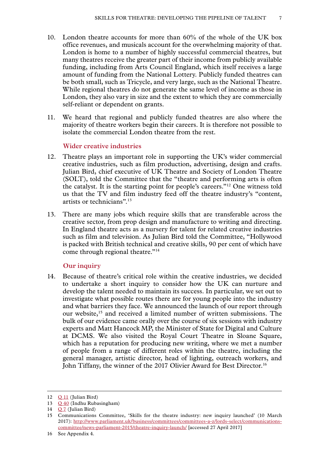- <span id="page-8-0"></span>10. London theatre accounts for more than 60% of the whole of the UK box office revenues, and musicals account for the overwhelming majority of that. London is home to a number of highly successful commercial theatres, but many theatres receive the greater part of their income from publicly available funding, including from Arts Council England, which itself receives a large amount of funding from the National Lottery. Publicly funded theatres can be both small, such as Tricycle, and very large, such as the National Theatre. While regional theatres do not generate the same level of income as those in London, they also vary in size and the extent to which they are commercially self-reliant or dependent on grants.
- 11. We heard that regional and publicly funded theatres are also where the majority of theatre workers begin their careers. It is therefore not possible to isolate the commercial London theatre from the rest.

#### **Wider creative industries**

- 12. Theatre plays an important role in supporting the UK's wider commercial creative industries, such as film production, advertising, design and crafts. Julian Bird, chief executive of UK Theatre and Society of London Theatre (SOLT), told the Committee that the "theatre and performing arts is often the catalyst. It is the starting point for people's careers."12 One witness told us that the TV and film industry feed off the theatre industry's "content, artists or technicians".13
- 13. There are many jobs which require skills that are transferable across the creative sector, from prop design and manufacture to writing and directing. In England theatre acts as a nursery for talent for related creative industries such as film and television. As Julian Bird told the Committee, "Hollywood is packed with British technical and creative skills, 90 per cent of which have come through regional theatre."14

# **Our inquiry**

14. Because of theatre's critical role within the creative industries, we decided to undertake a short inquiry to consider how the UK can nurture and develop the talent needed to maintain its success. In particular, we set out to investigate what possible routes there are for young people into the industry and what barriers they face. We announced the launch of our report through our website,<sup>15</sup> and received a limited number of written submissions. The bulk of our evidence came orally over the course of six sessions with industry experts and Matt Hancock MP, the Minister of State for Digital and Culture at DCMS. We also visited the Royal Court Theatre in Sloane Square, which has a reputation for producing new writing, where we met a number of people from a range of different roles within the theatre, including the general manager, artistic director, head of lighting, outreach workers, and John Tiffany, the winner of the 2017 Olivier Award for Best Director.<sup>16</sup>

<sup>12</sup> Q [11](http://data.parliament.uk/writtenevidence/committeeevidence.svc/evidencedocument/communications-committee/skills-for-the-theatre-industry/oral/48993.html) (Julian Bird)

<sup>13</sup> Q [40](http://data.parliament.uk/writtenevidence/committeeevidence.svc/evidencedocument/communications-committee/skills-for-the-theatre-industry/oral/49657.html) (Indhu Rubasingham)

<sup>14</sup> [Q](http://data.parliament.uk/writtenevidence/committeeevidence.svc/evidencedocument/communications-committee/skills-for-the-theatre-industry/oral/48993.html) 7 (Julian Bird)

<sup>15</sup> Communications Committee, 'Skills for the theatre industry: new inquiry launched' (10 March 2017): [http://www.parliament.uk/business/committees/committees-a-z/lords-select/communications](http://www.parliament.uk/business/committees/committees-a-z/lords-select/communications-committee/news-parliament-2015/theatre-inquiry-launch/)[committee/news-parliament-2015/theatre-inquiry-launch/](http://www.parliament.uk/business/committees/committees-a-z/lords-select/communications-committee/news-parliament-2015/theatre-inquiry-launch/) [accessed 27 April 2017]

<sup>16</sup> See Appendix 4.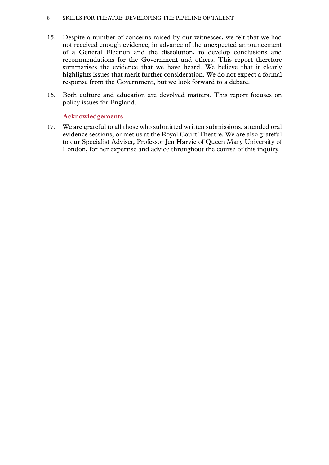#### <span id="page-9-0"></span>8 Skills for theatre: Developing the pipeline of talent

- 15. Despite a number of concerns raised by our witnesses, we felt that we had not received enough evidence, in advance of the unexpected announcement of a General Election and the dissolution, to develop conclusions and recommendations for the Government and others. This report therefore summarises the evidence that we have heard. We believe that it clearly highlights issues that merit further consideration. We do not expect a formal response from the Government, but we look forward to a debate.
- 16. Both culture and education are devolved matters. This report focuses on policy issues for England.

# **Acknowledgements**

17. We are grateful to all those who submitted written submissions, attended oral evidence sessions, or met us at the Royal Court Theatre. We are also grateful to our Specialist Adviser, Professor Jen Harvie of Queen Mary University of London, for her expertise and advice throughout the course of this inquiry.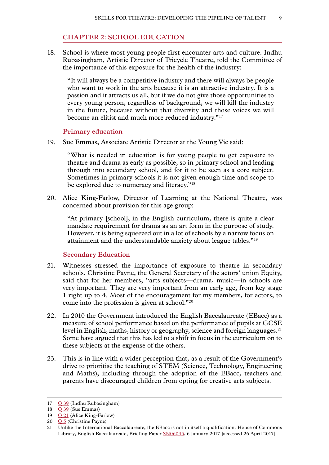#### **Chapter 2: SCHOOL EDUCATION**

<span id="page-10-0"></span>18. School is where most young people first encounter arts and culture. Indhu Rubasingham, Artistic Director of Tricycle Theatre, told the Committee of the importance of this exposure for the health of the industry:

"It will always be a competitive industry and there will always be people who want to work in the arts because it is an attractive industry. It is a passion and it attracts us all, but if we do not give those opportunities to every young person, regardless of background, we will kill the industry in the future, because without that diversity and those voices we will become an elitist and much more reduced industry."17

#### **Primary education**

19. Sue Emmas, Associate Artistic Director at the Young Vic said:

"What is needed in education is for young people to get exposure to theatre and drama as early as possible, so in primary school and leading through into secondary school, and for it to be seen as a core subject. Sometimes in primary schools it is not given enough time and scope to be explored due to numeracy and literacy."<sup>18</sup>

20. Alice King-Farlow, Director of Learning at the National Theatre, was concerned about provision for this age group:

"At primary [school], in the English curriculum, there is quite a clear mandate requirement for drama as an art form in the purpose of study. However, it is being squeezed out in a lot of schools by a narrow focus on attainment and the understandable anxiety about league tables."19

# **Secondary Education**

- 21. Witnesses stressed the importance of exposure to theatre in secondary schools. Christine Payne, the General Secretary of the actors' union Equity, said that for her members, "arts subjects—drama, music—in schools are very important. They are very important from an early age, from key stage 1 right up to 4. Most of the encouragement for my members, for actors, to come into the profession is given at school."20
- 22. In 2010 the Government introduced the English Baccalaureate (EBacc) as a measure of school performance based on the performance of pupils at GCSE level in English, maths, history or geography, science and foreign languages.<sup>21</sup> Some have argued that this has led to a shift in focus in the curriculum on to these subjects at the expense of the others.
- 23. This is in line with a wider perception that, as a result of the Government's drive to prioritise the teaching of STEM (Science, Technology, Engineering and Maths), including through the adoption of the EBacc, teachers and parents have discouraged children from opting for creative arts subjects.

<sup>17</sup> Q [39](http://data.parliament.uk/writtenevidence/committeeevidence.svc/evidencedocument/communications-committee/skills-for-the-theatre-industry/oral/49657.html) (Indhu Rubasingham)

<sup>18</sup> **Q** [39](http://data.parliament.uk/writtenevidence/committeeevidence.svc/evidencedocument/communications-committee/skills-for-the-theatre-industry/oral/49657.html) (Sue Emmas)

<sup>19</sup> Q [21](http://data.parliament.uk/writtenevidence/committeeevidence.svc/evidencedocument/communications-committee/skills-for-the-theatre-industry/oral/49383.html) (Alice King-Farlow)

<sup>20</sup> O 5 (Christine Payne)

<sup>21</sup> Unlike the International Baccalaureate, the EBacc is not in itself a qualification. House of Commons Library, English Baccalaureate, Briefing Paper [SN06045](http://researchbriefings.files.parliament.uk/documents/SN06045/SN06045.pdf), 6 January 2017 [accessed 26 April 2017]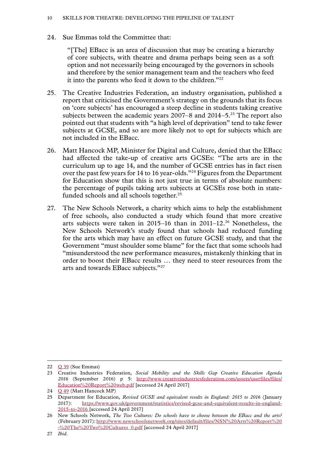## 24. Sue Emmas told the Committee that:

"[The] EBacc is an area of discussion that may be creating a hierarchy of core subjects, with theatre and drama perhaps being seen as a soft option and not necessarily being encouraged by the governors in schools and therefore by the senior management team and the teachers who feed it into the parents who feed it down to the children."22

- 25. The Creative Industries Federation, an industry organisation, published a report that criticised the Government's strategy on the grounds that its focus on 'core subjects' has encouraged a steep decline in students taking creative subjects between the academic years  $2007-8$  and  $2014-5.^{23}$  The report also pointed out that students with "a high level of deprivation" tend to take fewer subjects at GCSE, and so are more likely not to opt for subjects which are not included in the EBacc.
- 26. Matt Hancock MP, Minister for Digital and Culture, denied that the EBacc had affected the take-up of creative arts GCSEs: "The arts are in the curriculum up to age 14, and the number of GCSE entries has in fact risen over the past few years for 14 to 16 year-olds."24 Figures from the Department for Education show that this is not just true in terms of absolute numbers: the percentage of pupils taking arts subjects at GCSEs rose both in statefunded schools and all schools together.<sup>25</sup>
- 27. The New Schools Network, a charity which aims to help the establishment of free schools, also conducted a study which found that more creative arts subjects were taken in  $2015-16$  than in  $2011-12.^{26}$  Nonetheless, the New Schools Network's study found that schools had reduced funding for the arts which may have an effect on future GCSE study, and that the Government "must shoulder some blame" for the fact that some schools had "misunderstood the new performance measures, mistakenly thinking that in order to boost their EBacc results … they need to steer resources from the arts and towards EBacc subjects."27

<sup>22</sup> Q [39](http://data.parliament.uk/writtenevidence/committeeevidence.svc/evidencedocument/communications-committee/skills-for-the-theatre-industry/oral/49657.html) (Sue Emmas)

<sup>23</sup> Creative Industries Federation, *Social Mobility and the Skills Gap Creative Education Agenda 2016* (September 2016) p 5: [http://www.creativeindustriesfederation.com/assets/userfiles/files/](http://www.creativeindustriesfederation.com/assets/userfiles/files/Education%20Report%20web.pdf) [Education%20Report%20web.pdf](http://www.creativeindustriesfederation.com/assets/userfiles/files/Education%20Report%20web.pdf) [accessed 24 April 2017]

<sup>24</sup> O [49](http://data.parliament.uk/writtenevidence/committeeevidence.svc/evidencedocument/communications-committee/skills-for-the-theatre-industry/oral/49659.html) (Matt Hancock MP)

<sup>25</sup> Department for Education, *Revised GCSE and equivalent results in England: 2015 to 2016* (January 2017): [https://www.gov.uk/government/statistics/revised-gcse-and-equivalent-results-in-england-](https://www.gov.uk/government/statistics/revised-gcse-and-equivalent-results-in-england-2015-to-2016)[2015-to-2016](https://www.gov.uk/government/statistics/revised-gcse-and-equivalent-results-in-england-2015-to-2016) [accessed 24 April 2017]

<sup>26</sup> New Schools Network, *The Two Cultures: Do schools have to choose between the EBacc and the arts?* (February 2017): [http://www.newschoolsnetwork.org/sites/default/files/NSN%20Arts%20Report%20](http://www.newschoolsnetwork.org/sites/default/files/NSN%20Arts%20Report%20-%20The%20Two%20Cultures_0.pdf) [-%20The%20Two%20Cultures\\_0.pdf](http://www.newschoolsnetwork.org/sites/default/files/NSN%20Arts%20Report%20-%20The%20Two%20Cultures_0.pdf) [accessed 24 April 2017]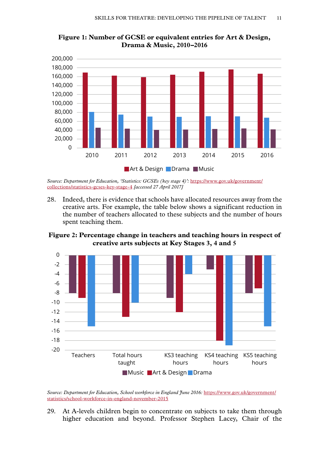

<span id="page-12-0"></span>**Figure 1: Number of GCSE or equivalent entries for Art & Design, Drama & Music, 2010–2016**

*Source: Department for Education, 'Statistics: GCSEs (key stage 4)':* [https://www.gov.uk/government/](https://www.gov.uk/government/collections/statistics-gcses-key-stage-4) [collections/statistics-gcses-key-stage-4](https://www.gov.uk/government/collections/statistics-gcses-key-stage-4) *[accessed 27 April 2017]*

28. Indeed, there is evidence that schools have allocated resources away from the creative arts. For example, the table below shows a significant reduction in the number of teachers allocated to these subjects and the number of hours spent teaching them.

**Figure 2: Percentage change in teachers and teaching hours in respect of creative arts subjects at Key Stages 3, 4 and 5**



Source: Department for Education, School workforce in England June 2016: [https://www.gov.uk/government/](https://www.gov.uk/government/statistics/school-workforce-in-england-november-2015) [statistics/school-workforce-in-england-november-2015](https://www.gov.uk/government/statistics/school-workforce-in-england-november-2015)

29. At A-levels children begin to concentrate on subjects to take them through higher education and beyond. Professor Stephen Lacey, Chair of the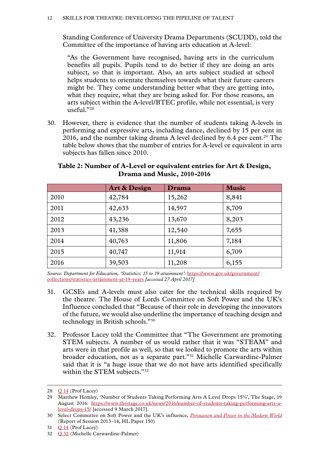<span id="page-13-0"></span>Standing Conference of University Drama Departments (SCUDD), told the Committee of the importance of having arts education at A-level:

"As the Government have recognised, having arts in the curriculum benefits all pupils. Pupils tend to do better if they are doing an arts subject, so that is important. Also, an arts subject studied at school helps students to orientate themselves towards what their future careers might be. They come understanding better what they are getting into, what they require, what they are being asked for. For those reasons, an arts subject within the A-level/BTEC profile, while not essential, is very useful."28

30. However, there is evidence that the number of students taking A-levels in performing and expressive arts, including dance, declined by 15 per cent in 2016, and the number taking drama A level declined by  $6.4$  per cent.<sup>29</sup> The table below shows that the number of entries for A-level or equivalent in arts subjects has fallen since 2010.

|      | <b>Art &amp; Design</b> | Drama  | <b>Music</b> |
|------|-------------------------|--------|--------------|
| 2010 | 42,784                  | 15,262 | 8,841        |
| 2011 | 42,633                  | 14,597 | 8,709        |
| 2012 | 43,236                  | 13,670 | 8,203        |
| 2013 | 41,388                  | 12,540 | 7,655        |
| 2014 | 40,763                  | 11,806 | 7,184        |
| 2015 | 40,747                  | 11,914 | 6,709        |
| 2016 | 39,503                  | 11,208 | 6,155        |

# **Table 2: Number of A-Level or equivalent entries for Art & Design, Drama and Music, 2010-2016**

*Source: Department for Education, 'Statistics: 15 to 19 attainment':* [https://www.gov.uk/government/](https://www.gov.uk/government/collections/statistics-attainment-at-19-years) [collections/statistics-attainment-at-19-years](https://www.gov.uk/government/collections/statistics-attainment-at-19-years) *[accessed 27 April 2017]*

- 31. GCSEs and A-levels must also cater for the technical skills required by the theatre. The House of Lords Committee on Soft Power and the UK's Influence concluded that "Because of their role in developing the innovators of the future, we would also underline the importance of teaching design and technology in British schools."30
- 32. Professor Lacey told the Committee that "The Government are promoting STEM subjects. A number of us would rather that it was "STEAM" and arts were in that profile as well, so that we looked to promote the arts within broader education, not as a separate part."31 Michelle Carwardine-Palmer said that it is "a huge issue that we do not have arts identified specifically within the STEM subjects."<sup>32</sup>

<sup>28</sup> O [14](http://data.parliament.uk/writtenevidence/committeeevidence.svc/evidencedocument/communications-committee/skills-for-the-theatre-industry/oral/48994.html) (Prof Lacey)

<sup>29</sup> Matthew Hemley, 'Number of Students Taking Performing Arts A Level Drops 15%', The Stage, 19 August 2016: [https://www.thestage.co.uk/news/2016/number-of-students-taking-performing-arts-a](https://www.thestage.co.uk/news/2016/number-of-students-taking-performing-arts-a-level-drops-15/)[level-drops-15/](https://www.thestage.co.uk/news/2016/number-of-students-taking-performing-arts-a-level-drops-15/) [accessed 9 March 2017].

<sup>30</sup> Select Committee on Soft Power and the UK's influence, *[Persuasion and Power in the Modern World](https://www.publications.parliament.uk/pa/ld201314/ldselect/ldsoftpower/150/150.pdf)* (Report of Session 2013–14, HL Paper 150)

<sup>31</sup> Q [14](http://data.parliament.uk/writtenevidence/committeeevidence.svc/evidencedocument/communications-committee/skills-for-the-theatre-industry/oral/48994.html) (Prof Lacey)

<sup>32</sup> Q [32](http://data.parliament.uk/writtenevidence/committeeevidence.svc/evidencedocument/communications-committee/skills-for-the-theatre-industry/oral/49384.html) (Michelle Carwardine-Palmer)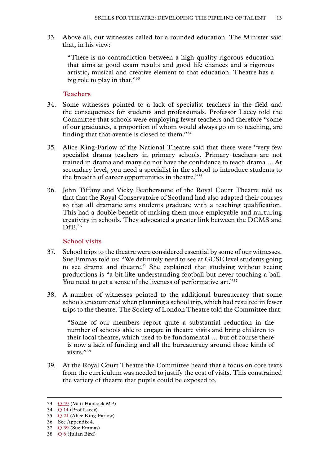<span id="page-14-0"></span>33. Above all, our witnesses called for a rounded education. The Minister said that, in his view:

"There is no contradiction between a high-quality rigorous education that aims at good exam results and good life chances and a rigorous artistic, musical and creative element to that education. Theatre has a big role to play in that."<sup>33</sup>

# **Teachers**

- 34. Some witnesses pointed to a lack of specialist teachers in the field and the consequences for students and professionals. Professor Lacey told the Committee that schools were employing fewer teachers and therefore "some of our graduates, a proportion of whom would always go on to teaching, are finding that that avenue is closed to them."34
- 35. Alice King-Farlow of the National Theatre said that there were "very few specialist drama teachers in primary schools. Primary teachers are not trained in drama and many do not have the confidence to teach drama …At secondary level, you need a specialist in the school to introduce students to the breadth of career opportunities in theatre."35
- 36. John Tiffany and Vicky Featherstone of the Royal Court Theatre told us that that the Royal Conservatoire of Scotland had also adapted their courses so that all dramatic arts students graduate with a teaching qualification. This had a double benefit of making them more employable and nurturing creativity in schools. They advocated a greater link between the DCMS and Df<sub>E.</sub>36

# **School visits**

- 37. School trips to the theatre were considered essential by some of our witnesses. Sue Emmas told us: "We definitely need to see at GCSE level students going to see drama and theatre." She explained that studying without seeing productions is "a bit like understanding football but never touching a ball. You need to get a sense of the liveness of performative art."<sup>37</sup>
- 38. A number of witnesses pointed to the additional bureaucracy that some schools encountered when planning a school trip, which had resulted in fewer trips to the theatre. The Society of London Theatre told the Committee that:

"Some of our members report quite a substantial reduction in the number of schools able to engage in theatre visits and bring children to their local theatre, which used to be fundamental … but of course there is now a lack of funding and all the bureaucracy around those kinds of visits."38

39. At the Royal Court Theatre the Committee heard that a focus on core texts from the curriculum was needed to justify the cost of visits. This constrained the variety of theatre that pupils could be exposed to.

<sup>33</sup> Q [49](http://data.parliament.uk/writtenevidence/committeeevidence.svc/evidencedocument/communications-committee/skills-for-the-theatre-industry/oral/49659.html) (Matt Hancock MP)

<sup>34</sup> **Q** [14](http://data.parliament.uk/writtenevidence/committeeevidence.svc/evidencedocument/communications-committee/skills-for-the-theatre-industry/oral/48994.html) (Prof Lacey)

<sup>35</sup> Q [21](http://data.parliament.uk/writtenevidence/committeeevidence.svc/evidencedocument/communications-committee/skills-for-the-theatre-industry/oral/49383.html) (Alice King-Farlow)

<sup>36</sup> See Appendix 4.

<sup>37</sup> Q [39](http://data.parliament.uk/writtenevidence/committeeevidence.svc/evidencedocument/communications-committee/skills-for-the-theatre-industry/oral/49657.html) (Sue Emmas)

<sup>38</sup> [Q](http://data.parliament.uk/writtenevidence/committeeevidence.svc/evidencedocument/communications-committee/skills-for-the-theatre-industry/oral/48993.html) 6 (Julian Bird)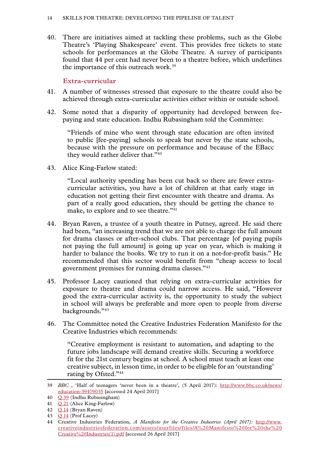<span id="page-15-0"></span>40. There are initiatives aimed at tackling these problems, such as the Globe Theatre's 'Playing Shakespeare' event. This provides free tickets to state schools for performances at the Globe Theatre. A survey of participants found that 44 per cent had never been to a theatre before, which underlines the importance of this outreach work.39

# **Extra-curricular**

- 41. A number of witnesses stressed that exposure to the theatre could also be achieved through extra-curricular activities either within or outside school.
- 42. Some noted that a disparity of opportunity had developed between feepaying and state education. Indhu Rubasingham told the Committee:

"Friends of mine who went through state education are often invited to public [fee-paying] schools to speak but never by the state schools, because with the pressure on performance and because of the EBacc they would rather deliver that."40

43. Alice King-Farlow stated:

"Local authority spending has been cut back so there are fewer extracurricular activities, you have a lot of children at that early stage in education not getting their first encounter with theatre and drama. As part of a really good education, they should be getting the chance to make, to explore and to see theatre."<sup>41</sup>

- 44. Bryan Raven, a trustee of a youth theatre in Putney, agreed. He said there had been, "an increasing trend that we are not able to charge the full amount for drama classes or after-school clubs. That percentage [of paying pupils not paying the full amount] is going up year on year, which is making it harder to balance the books. We try to run it on a not-for-profit basis." He recommended that this sector would benefit from "cheap access to local government premises for running drama classes."42
- 45. Professor Lacey cautioned that relying on extra-curricular activities for exposure to theatre and drama could narrow access. He said, "However good the extra-curricular activity is, the opportunity to study the subject in school will always be preferable and more open to people from diverse backgrounds."43
- 46. The Committee noted the Creative Industries Federation Manifesto for the Creative Industries which recommends:

"Creative employment is resistant to automation, and adapting to the future jobs landscape will demand creative skills. Securing a workforce fit for the 21st century begins at school. A school must teach at least one creative subject, in lesson time, in order to be eligible for an 'outstanding' rating by Ofsted."44

<sup>39</sup> *BBC* , 'Half of teenagers 'never been in a theatre', (5 April 2017): [http://www.bbc.co.uk/news/](http://www.bbc.co.uk/news/education-39479035) [education-39479035](http://www.bbc.co.uk/news/education-39479035) [accessed 24 April 2017]

<sup>40</sup> Q [39](http://data.parliament.uk/writtenevidence/committeeevidence.svc/evidencedocument/communications-committee/skills-for-the-theatre-industry/oral/49657.html) (Indhu Rubasingham)

<sup>41</sup> Q [21](http://data.parliament.uk/writtenevidence/committeeevidence.svc/evidencedocument/communications-committee/skills-for-the-theatre-industry/oral/49383.html) (Alice King-Farlow)

<sup>42</sup> Q [14](http://data.parliament.uk/writtenevidence/committeeevidence.svc/evidencedocument/communications-committee/skills-for-the-theatre-industry/oral/48994.html) (Bryan Raven)

<sup>43</sup> Q [14](http://data.parliament.uk/writtenevidence/committeeevidence.svc/evidencedocument/communications-committee/skills-for-the-theatre-industry/oral/48994.html) (Prof Lacey)

<sup>44</sup> Creative Industries Federation, *A Manifesto for the Creative Industries (April 2017):* [http://www.](http://www.creativeindustriesfederation.com/assets/userfiles/files/A%20Manifesto%20for%20the%20Creative%20Industries(1).pdf) [creativeindustriesfederation.com/assets/userfiles/files/A%20Manifesto%20for%20the%20](http://www.creativeindustriesfederation.com/assets/userfiles/files/A%20Manifesto%20for%20the%20Creative%20Industries(1).pdf) [Creative%20Industries\(1\).pdf](http://www.creativeindustriesfederation.com/assets/userfiles/files/A%20Manifesto%20for%20the%20Creative%20Industries(1).pdf) [accessed 26 April 2017]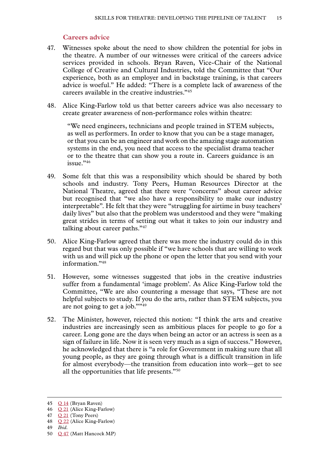## **Careers advice**

- <span id="page-16-0"></span>47. Witnesses spoke about the need to show children the potential for jobs in the theatre. A number of our witnesses were critical of the careers advice services provided in schools. Bryan Raven, Vice-Chair of the National College of Creative and Cultural Industries, told the Committee that "Our experience, both as an employer and in backstage training, is that careers advice is woeful." He added: "There is a complete lack of awareness of the careers available in the creative industries."45
- 48. Alice King-Farlow told us that better careers advice was also necessary to create greater awareness of non-performance roles within theatre:

"We need engineers, technicians and people trained in STEM subjects, as well as performers. In order to know that you can be a stage manager, or that you can be an engineer and work on the amazing stage automation systems in the end, you need that access to the specialist drama teacher or to the theatre that can show you a route in. Careers guidance is an  $i$ ssue $.946$ 

- 49. Some felt that this was a responsibility which should be shared by both schools and industry. Tony Peers, Human Resources Director at the National Theatre, agreed that there were "concerns" about career advice but recognised that "we also have a responsibility to make our industry interpretable". He felt that they were "struggling for airtime in busy teachers' daily lives" but also that the problem was understood and they were "making great strides in terms of setting out what it takes to join our industry and talking about career paths."47
- 50. Alice King-Farlow agreed that there was more the industry could do in this regard but that was only possible if "we have schools that are willing to work with us and will pick up the phone or open the letter that you send with your information<sup>"48</sup>
- 51. However, some witnesses suggested that jobs in the creative industries suffer from a fundamental 'image problem'. As Alice King-Farlow told the Committee, "We are also countering a message that says, "These are not helpful subjects to study. If you do the arts, rather than STEM subjects, you are not going to get a job.""49
- 52. The Minister, however, rejected this notion: "I think the arts and creative industries are increasingly seen as ambitious places for people to go for a career. Long gone are the days when being an actor or an actress is seen as a sign of failure in life. Now it is seen very much as a sign of success." However, he acknowledged that there is "a role for Government in making sure that all young people, as they are going through what is a difficult transition in life for almost everybody—the transition from education into work—get to see all the opportunities that life presents."50

<sup>45</sup> Q [14](http://data.parliament.uk/writtenevidence/committeeevidence.svc/evidencedocument/communications-committee/skills-for-the-theatre-industry/oral/48994.html) (Bryan Raven)

<sup>46</sup> Q [21](http://data.parliament.uk/writtenevidence/committeeevidence.svc/evidencedocument/communications-committee/skills-for-the-theatre-industry/oral/49383.html) (Alice King-Farlow)

<sup>47</sup> **Q [21](http://data.parliament.uk/writtenevidence/committeeevidence.svc/evidencedocument/communications-committee/skills-for-the-theatre-industry/oral/49383.html)** (Tony Peers)

<sup>48</sup> Q [22](http://data.parliament.uk/writtenevidence/committeeevidence.svc/evidencedocument/communications-committee/skills-for-the-theatre-industry/oral/49383.html) (Alice King-Farlow)

<sup>49</sup> *Ibid.*

<sup>50</sup> Q [47](http://data.parliament.uk/writtenevidence/committeeevidence.svc/evidencedocument/communications-committee/skills-for-the-theatre-industry/oral/49659.html) (Matt Hancock MP)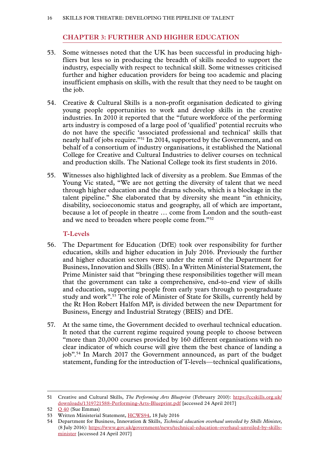# **Chapter 3: FURTHER AND HIGHER EDUCATION**

- <span id="page-17-0"></span>53. Some witnesses noted that the UK has been successful in producing highfliers but less so in producing the breadth of skills needed to support the industry, especially with respect to technical skill. Some witnesses criticised further and higher education providers for being too academic and placing insufficient emphasis on skills, with the result that they need to be taught on the job.
- 54. Creative & Cultural Skills is a non-profit organisation dedicated to giving young people opportunities to work and develop skills in the creative industries. In 2010 it reported that the "future workforce of the performing arts industry is composed of a large pool of 'qualified' potential recruits who do not have the specific 'associated professional and technical' skills that nearly half of jobs require."51 In 2014, supported by the Government, and on behalf of a consortium of industry organisations, it established the National College for Creative and Cultural Industries to deliver courses on technical and production skills. The National College took its first students in 2016.
- 55. Witnesses also highlighted lack of diversity as a problem. Sue Emmas of the Young Vic stated, "We are not getting the diversity of talent that we need through higher education and the drama schools, which is a blockage in the talent pipeline." She elaborated that by diversity she meant "in ethnicity, disability, socioeconomic status and geography, all of which are important, because a lot of people in theatre … come from London and the south-east and we need to broaden where people come from."52

# **T-Levels**

- 56. The Department for Education (DfE) took over responsibility for further education, skills and higher education in July 2016. Previously the further and higher education sectors were under the remit of the Department for Business, Innovation and Skills (BIS). In a Written Ministerial Statement, the Prime Minister said that "bringing these responsibilities together will mean that the government can take a comprehensive, end-to-end view of skills and education, supporting people from early years through to postgraduate study and work".53 The role of Minister of State for Skills, currently held by the Rt Hon Robert Halfon MP, is divided between the new Department for Business, Energy and Industrial Strategy (BEIS) and DfE.
- 57. At the same time, the Government decided to overhaul technical education. It noted that the current regime required young people to choose between "more than 20,000 courses provided by 160 different organisations with no clear indicator of which course will give them the best chance of landing a job".54 In March 2017 the Government announced, as part of the budget statement, funding for the introduction of T-levels—technical qualifications,

<sup>51</sup> Creative and Cultural Skills, *The Performing Arts Blueprint* (February 2010): [https://ccskills.org.uk/](https://ccskills.org.uk/downloads/1319721588-Performing-Arts-Blueprint.pdf) [downloads/1319721588-Performing-Arts-Blueprint.pdf](https://ccskills.org.uk/downloads/1319721588-Performing-Arts-Blueprint.pdf) [accessed 24 April 2017]

<sup>52</sup>  $O$  [40](http://data.parliament.uk/writtenevidence/committeeevidence.svc/evidencedocument/communications-committee/skills-for-the-theatre-industry/oral/49657.html) (Sue Emmas)

<sup>53</sup> Written Ministerial Statement, [HCWS94](http://www.parliament.uk/written-questions-answers-statements/written-statement/Commons/2016-07-18/HCWS94), 18 July 2016

<sup>54</sup> [Department for Business, Innovation & Skills](https://www.gov.uk/government/organisations/department-for-business-innovation-skills), *Technical education overhaul unveiled by Skills Minister*, (8 July 2016): [https://www.gov.uk/government/news/technical-education-overhaul-unveiled-by-skills](https://www.gov.uk/government/news/technical-education-overhaul-unveiled-by-skills-minister)[minister](https://www.gov.uk/government/news/technical-education-overhaul-unveiled-by-skills-minister) [accessed 24 April 2017]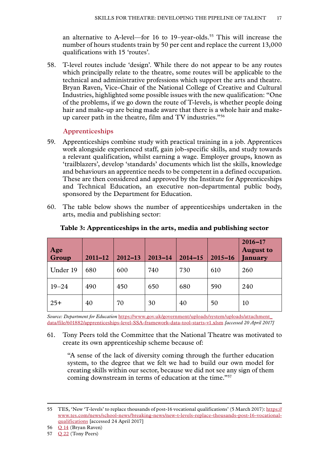<span id="page-18-0"></span>an alternative to A-level—for 16 to 19-year-olds.<sup>55</sup> This will increase the number of hours students train by 50 per cent and replace the current 13,000 qualifications with 15 'routes'.

58. T-level routes include 'design'. While there do not appear to be any routes which principally relate to the theatre, some routes will be applicable to the technical and administrative professions which support the arts and theatre. Bryan Raven, Vice-Chair of the National College of Creative and Cultural Industries, highlighted some possible issues with the new qualification: "One of the problems, if we go down the route of T-levels, is whether people doing hair and make-up are being made aware that there is a whole hair and makeup career path in the theatre, film and TV industries."56

# **Apprenticeships**

- 59. Apprenticeships combine study with practical training in a job. Apprentices work alongside experienced staff, gain job-specific skills, and study towards a relevant qualification, whilst earning a wage. Employer groups, known as 'trailblazers', develop 'standards' documents which list the skills, knowledge and behaviours an apprentice needs to be competent in a defined occupation. These are then considered and approved by the Institute for Apprenticeships and Technical Education, an executive non-departmental public body, sponsored by the Department for Education.
- 60. The table below shows the number of apprenticeships undertaken in the arts, media and publishing sector:

| Age<br>Group | $2011 - 12$ | $2012 - 13$ | $2013 - 14$ | $2014 - 15$ | $2015 - 16$ | $2016 - 17$<br><b>August to</b><br>January |
|--------------|-------------|-------------|-------------|-------------|-------------|--------------------------------------------|
| Under 19     | 680         | 600         | 740         | 730         | 610         | 260                                        |
| $19 - 24$    | 490         | 450         | 650         | 680         | 590         | 240                                        |
| $25+$        | 40          | 70          | 30          | 40          | 50          | 10                                         |

# **Table 3: Apprenticeships in the arts, media and publishing sector**

*Source: Department for Education* [https://www.gov.uk/government/uploads/system/uploads/attachment\\_](https://www.gov.uk/government/uploads/system/uploads/attachment_data/file/601882/apprenticeships-level-SSA-framework-data-tool-starts-v1.xlsm) [data/file/601882/apprenticeships-level-SSA-framework-data-tool-starts-v1.xlsm](https://www.gov.uk/government/uploads/system/uploads/attachment_data/file/601882/apprenticeships-level-SSA-framework-data-tool-starts-v1.xlsm) *[accessed 20 April 2017]*

61. Tony Peers told the Committee that the National Theatre was motivated to create its own apprenticeship scheme because of:

"A sense of the lack of diversity coming through the further education system, to the degree that we felt we had to build our own model for creating skills within our sector, because we did not see any sign of them coming downstream in terms of education at the time."57

<sup>55</sup> TES, 'New 'T-levels' to replace thousands of post-16 vocational qualifications' (5 March 2017): [https://](https://www.tes.com/news/school-news/breaking-news/new-t-levels-replace-thousands-post-16-vocational-qualifications) [www.tes.com/news/school-news/breaking-news/new-t-levels-replace-thousands-post-16-vocational](https://www.tes.com/news/school-news/breaking-news/new-t-levels-replace-thousands-post-16-vocational-qualifications)[qualifications](https://www.tes.com/news/school-news/breaking-news/new-t-levels-replace-thousands-post-16-vocational-qualifications) [accessed 24 April 2017]

<sup>56</sup> Q [14](http://data.parliament.uk/writtenevidence/committeeevidence.svc/evidencedocument/communications-committee/skills-for-the-theatre-industry/oral/48994.html) (Bryan Raven)

<sup>57</sup> **Q 22** (Tony Peers)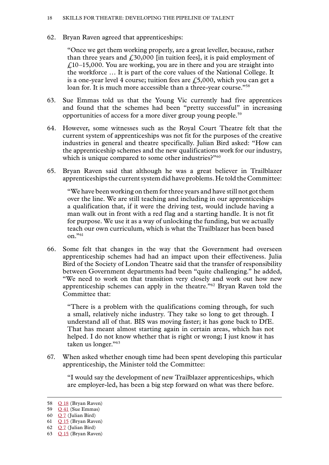62. Bryan Raven agreed that apprenticeships:

"Once we get them working properly, are a great leveller, because, rather than three years and  $\ell$ , 30,000 [in tuition fees], it is paid employment of  $\angle$  10–15,000. You are working, you are in there and you are straight into the workforce … It is part of the core values of the National College. It is a one-year level 4 course; tuition fees are  $f_1$ 5,000, which you can get a loan for. It is much more accessible than a three-year course."<sup>58</sup>

- 63. Sue Emmas told us that the Young Vic currently had five apprentices and found that the schemes had been "pretty successful" in increasing opportunities of access for a more diver group young people.59
- 64. However, some witnesses such as the Royal Court Theatre felt that the current system of apprenticeships was not fit for the purposes of the creative industries in general and theatre specifically. Julian Bird asked: "How can the apprenticeship schemes and the new qualifications work for our industry, which is unique compared to some other industries?"<sup>60</sup>
- 65. Bryan Raven said that although he was a great believer in Trailblazer apprenticeships the current system did have problems. He told the Committee:

"We have been working on them for three years and have still not got them over the line. We are still teaching and including in our apprenticeships a qualification that, if it were the driving test, would include having a man walk out in front with a red flag and a starting handle. It is not fit for purpose. We use it as a way of unlocking the funding, but we actually teach our own curriculum, which is what the Trailblazer has been based on."61

66. Some felt that changes in the way that the Government had overseen apprenticeship schemes had had an impact upon their effectiveness. Julia Bird of the Society of London Theatre said that the transfer of responsibility between Government departments had been "quite challenging." he added, "We need to work on that transition very closely and work out how new apprenticeship schemes can apply in the theatre."62 Bryan Raven told the Committee that:

"There is a problem with the qualifications coming through, for such a small, relatively niche industry. They take so long to get through. I understand all of that. BIS was moving faster; it has gone back to DfE. That has meant almost starting again in certain areas, which has not helped. I do not know whether that is right or wrong; I just know it has taken us longer."<sup>63</sup>

67. When asked whether enough time had been spent developing this particular apprenticeship, the Minister told the Committee:

"I would say the development of new Trailblazer apprenticeships, which are employer-led, has been a big step forward on what was there before.

<sup>58</sup> Q [18](http://data.parliament.uk/writtenevidence/committeeevidence.svc/evidencedocument/communications-committee/skills-for-the-theatre-industry/oral/48994.html) (Bryan Raven)

<sup>59</sup> Q [41](http://data.parliament.uk/writtenevidence/committeeevidence.svc/evidencedocument/communications-committee/skills-for-the-theatre-industry/oral/49657.html) (Sue Emmas)

<sup>60</sup>  $Q$  7 (Julian Bird)

<sup>61</sup> Q [15](http://data.parliament.uk/writtenevidence/committeeevidence.svc/evidencedocument/communications-committee/skills-for-the-theatre-industry/oral/48994.html) (Bryan Raven)

<sup>62</sup> **[Q](http://data.parliament.uk/writtenevidence/committeeevidence.svc/evidencedocument/communications-committee/skills-for-the-theatre-industry/oral/48993.html)** 7 (Julian Bird)

<sup>63</sup> Q [15](http://data.parliament.uk/writtenevidence/committeeevidence.svc/evidencedocument/communications-committee/skills-for-the-theatre-industry/oral/48994.html) (Bryan Raven)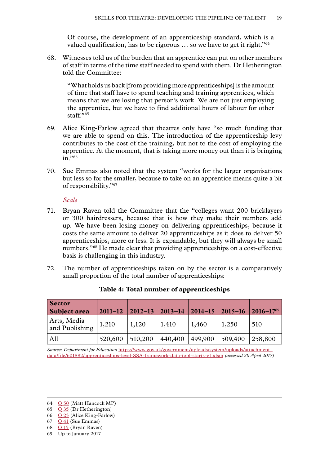Of course, the development of an apprenticeship standard, which is a valued qualification, has to be rigorous … so we have to get it right."64

<span id="page-20-0"></span>68. Witnesses told us of the burden that an apprentice can put on other members of staff in terms of the time staff needed to spend with them. Dr Hetherington told the Committee:

"What holds us back [from providing more apprenticeships] is the amount of time that staff have to spend teaching and training apprentices, which means that we are losing that person's work. We are not just employing the apprentice, but we have to find additional hours of labour for other staff."65

- 69. Alice King-Farlow agreed that theatres only have "so much funding that we are able to spend on this. The introduction of the apprenticeship levy contributes to the cost of the training, but not to the cost of employing the apprentice. At the moment, that is taking more money out than it is bringing  $in.$ <sup>7,66</sup>
- 70. Sue Emmas also noted that the system "works for the larger organisations but less so for the smaller, because to take on an apprentice means quite a bit of responsibility."67

*Scale*

- 71. Bryan Raven told the Committee that the "colleges want 200 bricklayers or 300 hairdressers, because that is how they make their numbers add up. We have been losing money on delivering apprenticeships, because it costs the same amount to deliver 20 apprenticeships as it does to deliver 50 apprenticeships, more or less. It is expandable, but they will always be small numbers."<sup>68</sup> He made clear that providing apprenticeships on a cost-effective basis is challenging in this industry.
- 72. The number of apprenticeships taken on by the sector is a comparatively small proportion of the total number of apprenticeships:

| <b>Sector</b><br><b>Subject area</b> | $2011 - 12$ | $2012 - 13$ | $2013 - 14$ | $2014 - 15$ | $ 2015 - 16 $ | $2016 - 1769$ |
|--------------------------------------|-------------|-------------|-------------|-------------|---------------|---------------|
| Arts, Media<br>and Publishing        | 1,210       | 1,120       | 1,410       | 1,460       | 1,250         | 510           |
| All                                  | 520,600     | 510,200     | 440,400     | 499,900     | 509,400       | 258,800       |

|  |  | Table 4: Total number of apprenticeships |
|--|--|------------------------------------------|
|--|--|------------------------------------------|

*Source: Department for Education* [https://www.gov.uk/government/uploads/system/uploads/attachment\\_](https://www.gov.uk/government/uploads/system/uploads/attachment_data/file/601882/apprenticeships-level-SSA-framework-data-tool-starts-v1.xlsm) [data/file/601882/apprenticeships-level-SSA-framework-data-tool-starts-v1.xlsm](https://www.gov.uk/government/uploads/system/uploads/attachment_data/file/601882/apprenticeships-level-SSA-framework-data-tool-starts-v1.xlsm) *[accessed 20 April 2017]*<sup>69</sup>

66 Q [23](http://data.parliament.uk/writtenevidence/committeeevidence.svc/evidencedocument/communications-committee/skills-for-the-theatre-industry/oral/49383.html) (Alice King-Farlow)

- 68 Q [15](http://data.parliament.uk/writtenevidence/committeeevidence.svc/evidencedocument/communications-committee/skills-for-the-theatre-industry/oral/48994.html) (Bryan Raven)
- 69 Up to January 2017

<sup>64</sup> Q [50](http://data.parliament.uk/writtenevidence/committeeevidence.svc/evidencedocument/communications-committee/skills-for-the-theatre-industry/oral/49659.html) (Matt Hancock MP)

<sup>65</sup> Q [35](http://data.parliament.uk/writtenevidence/committeeevidence.svc/evidencedocument/communications-committee/skills-for-the-theatre-industry/oral/49384.html) (Dr Hetherington)

<sup>67</sup> Q [41](http://data.parliament.uk/writtenevidence/committeeevidence.svc/evidencedocument/communications-committee/skills-for-the-theatre-industry/oral/49657.html) (Sue Emmas)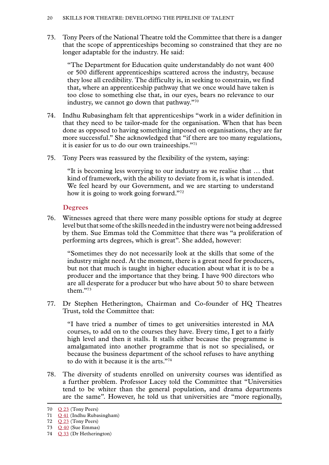<span id="page-21-0"></span>73. Tony Peers of the National Theatre told the Committee that there is a danger that the scope of apprenticeships becoming so constrained that they are no longer adaptable for the industry. He said:

"The Department for Education quite understandably do not want 400 or 500 different apprenticeships scattered across the industry, because they lose all credibility. The difficulty is, in seeking to constrain, we find that, where an apprenticeship pathway that we once would have taken is too close to something else that, in our eyes, bears no relevance to our industry, we cannot go down that pathway."70

- 74. Indhu Rubasingham felt that apprenticeships "work in a wider definition in that they need to be tailor-made for the organisation. When that has been done as opposed to having something imposed on organisations, they are far more successful." She acknowledged that "if there are too many regulations, it is easier for us to do our own traineeships."71
- 75. Tony Peers was reassured by the flexibility of the system, saying:

"It is becoming less worrying to our industry as we realise that … that kind of framework, with the ability to deviate from it, is what is intended. We feel heard by our Government, and we are starting to understand how it is going to work going forward."72

#### **Degrees**

76. Witnesses agreed that there were many possible options for study at degree level but that some of the skills needed in the industry were not being addressed by them. Sue Emmas told the Committee that there was "a proliferation of performing arts degrees, which is great". She added, however:

"Sometimes they do not necessarily look at the skills that some of the industry might need. At the moment, there is a great need for producers, but not that much is taught in higher education about what it is to be a producer and the importance that they bring. I have 900 directors who are all desperate for a producer but who have about 50 to share between them<sup>"73</sup>

77. Dr Stephen Hetherington, Chairman and Co-founder of HQ Theatres Trust, told the Committee that:

"I have tried a number of times to get universities interested in MA courses, to add on to the courses they have. Every time, I get to a fairly high level and then it stalls. It stalls either because the programme is amalgamated into another programme that is not so specialised, or because the business department of the school refuses to have anything to do with it because it is the arts."74

78. The diversity of students enrolled on university courses was identified as a further problem. Professor Lacey told the Committee that "Universities tend to be whiter than the general population, and drama departments are the same". However, he told us that universities are "more regionally,

<sup>70</sup> Q [23](http://data.parliament.uk/writtenevidence/committeeevidence.svc/evidencedocument/communications-committee/skills-for-the-theatre-industry/oral/49383.html) (Tony Peers)

<sup>71</sup> Q [41](http://data.parliament.uk/writtenevidence/committeeevidence.svc/evidencedocument/communications-committee/skills-for-the-theatre-industry/oral/49657.html) (Indhu Rubasingham)

<sup>72</sup> **Q 23** (Tony Peers)

<sup>73</sup> Q [40](http://data.parliament.uk/writtenevidence/committeeevidence.svc/evidencedocument/communications-committee/skills-for-the-theatre-industry/oral/49657.html) (Sue Emmas)

<sup>74</sup> Q [33](http://data.parliament.uk/writtenevidence/committeeevidence.svc/evidencedocument/communications-committee/skills-for-the-theatre-industry/oral/49384.html) (Dr Hetherington)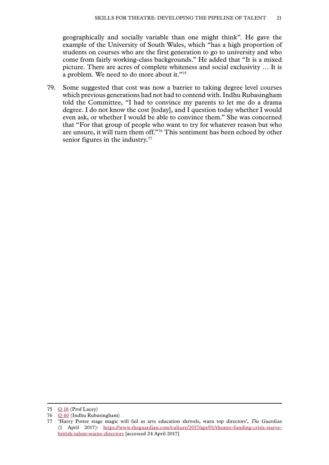geographically and socially variable than one might think". He gave the example of the University of South Wales, which "has a high proportion of students on courses who are the first generation to go to university and who come from fairly working-class backgrounds." He added that "It is a mixed picture. There are acres of complete whiteness and social exclusivity … It is a problem. We need to do more about it."75

79. Some suggested that cost was now a barrier to taking degree level courses which previous generations had not had to contend with. Indhu Rubasingham told the Committee, "I had to convince my parents to let me do a drama degree. I do not know the cost [today], and I question today whether I would even ask, or whether I would be able to convince them." She was concerned that "For that group of people who want to try for whatever reason but who are unsure, it will turn them off."76 This sentiment has been echoed by other senior figures in the industry.<sup>77</sup>

<sup>75</sup> Q [18](http://data.parliament.uk/writtenevidence/committeeevidence.svc/evidencedocument/communications-committee/skills-for-the-theatre-industry/oral/48994.html) (Prof Lacey)

<sup>76</sup> Q [40](http://data.parliament.uk/writtenevidence/committeeevidence.svc/evidencedocument/communications-committee/skills-for-the-theatre-industry/oral/49657.html) (Indhu Rubasingham)

<sup>77</sup> 'Harry Potter stage magic will fail as arts education shrivels, warn top directors', *The Guardian* (1 April 2017): [https://www.theguardian.com/culture/2017/apr/01/theatre-funding-crisis-starve](https://www.theguardian.com/culture/2017/apr/01/theatre-funding-crisis-starve-british-talent-warns-directors)[british-talent-warns-directors](https://www.theguardian.com/culture/2017/apr/01/theatre-funding-crisis-starve-british-talent-warns-directors) [accessed 24 April 2017]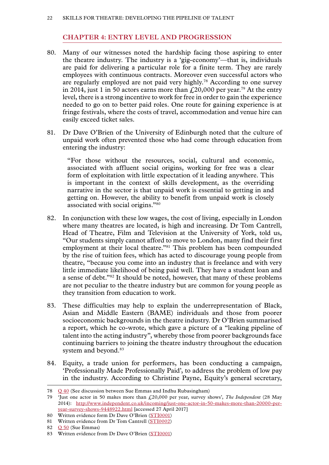# **Chapter 4: ENTRY LEVEL AND PROGRESSION**

- <span id="page-23-0"></span>80. Many of our witnesses noted the hardship facing those aspiring to enter the theatre industry. The industry is a 'gig-economy'—that is, individuals are paid for delivering a particular role for a finite term. They are rarely employees with continuous contracts. Moreover even successful actors who are regularly employed are not paid very highly.78 According to one survey in 2014, just 1 in 50 actors earns more than  $\text{\emph{f}}20,000$  per year.<sup>79</sup> At the entry level, there is a strong incentive to work for free in order to gain the experience needed to go on to better paid roles. One route for gaining experience is at fringe festivals, where the costs of travel, accommodation and venue hire can easily exceed ticket sales.
- 81. Dr Dave O'Brien of the University of Edinburgh noted that the culture of unpaid work often prevented those who had come through education from entering the industry:

"For those without the resources, social, cultural and economic, associated with affluent social origins, working for free was a clear form of exploitation with little expectation of it leading anywhere. This is important in the context of skills development, as the overriding narrative in the sector is that unpaid work is essential to getting in and getting on. However, the ability to benefit from unpaid work is closely associated with social origins."80

- 82. In conjunction with these low wages, the cost of living, especially in London where many theatres are located, is high and increasing. Dr Tom Cantrell, Head of Theatre, Film and Television at the University of York, told us, "Our students simply cannot afford to move to London, many find their first employment at their local theatre."<sup>81</sup> This problem has been compounded by the rise of tuition fees, which has acted to discourage young people from theatre, "because you come into an industry that is freelance and with very little immediate likelihood of being paid well. They have a student loan and a sense of debt."82 It should be noted, however, that many of these problems are not peculiar to the theatre industry but are common for young people as they transition from education to work.
- 83. These difficulties may help to explain the underrepresentation of Black, Asian and Middle Eastern (BAME) individuals and those from poorer socioeconomic backgrounds in the theatre industry. Dr O'Brien summarised a report, which he co-wrote, which gave a picture of a "leaking pipeline of talent into the acting industry", whereby those from poorer backgrounds face continuing barriers to joining the theatre industry throughout the education system and beyond.<sup>83</sup>
- 84. Equity, a trade union for performers, has been conducting a campaign, 'Professionally Made Professionally Paid', to address the problem of low pay in the industry. According to Christine Payne, Equity's general secretary,

<sup>78</sup> Q [40](http://data.parliament.uk/writtenevidence/committeeevidence.svc/evidencedocument/communications-committee/skills-for-the-theatre-industry/oral/49657.html) (See discussion between Sue Emmas and Indhu Rubasingham)

<sup>79</sup> 'Just one actor in 50 makes more than £20,000 per year, survey shows', *The Independent* (28 May 2014): [http://www.independent.co.uk/incoming/just-one-actor-in-50-makes-more-than-20000-per](http://www.independent.co.uk/incoming/just-one-actor-in-50-makes-more-than-20000-per-year-survey-shows-9448922.html)[year-survey-shows-9448922.html](http://www.independent.co.uk/incoming/just-one-actor-in-50-makes-more-than-20000-per-year-survey-shows-9448922.html) [accessed 27 April 2017]

<sup>80</sup> Written evidence form Dr Dave O'Brien [\(STI0001\)](http://data.parliament.uk/writtenevidence/committeeevidence.svc/evidencedocument/communications-committee/skills-for-the-theatre-industry/written/49846.html)

<sup>81</sup> Written evidence from Dr Tom Cantrell [\(STI0002\)](http://data.parliament.uk/writtenevidence/committeeevidence.svc/evidencedocument/communications-committee/skills-for-the-theatre-industry/written/69077.html)

<sup>82</sup> O [50](http://data.parliament.uk/writtenevidence/committeeevidence.svc/evidencedocument/communications-committee/skills-for-the-theatre-industry/oral/49657.html) (Sue Emmas)

<sup>83</sup> Written evidence from Dr Dave O'Brien [\(STI0001\)](http://data.parliament.uk/writtenevidence/committeeevidence.svc/evidencedocument/communications-committee/skills-for-the-theatre-industry/written/49846.html)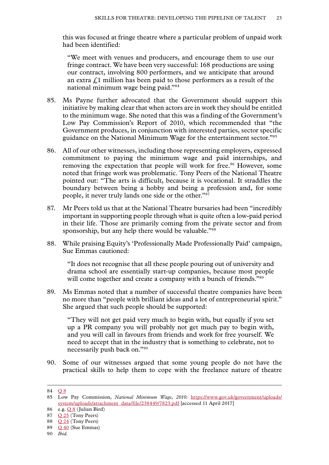this was focused at fringe theatre where a particular problem of unpaid work had been identified:

"We meet with venues and producers, and encourage them to use our fringe contract. We have been very successful: 168 productions are using our contract, involving 800 performers, and we anticipate that around an extra  $\ell$ 1 million has been paid to those performers as a result of the national minimum wage being paid."84

- 85. Ms Payne further advocated that the Government should support this initiative by making clear that when actors are in work they should be entitled to the minimum wage. She noted that this was a finding of the Government's Low Pay Commission's Report of 2010, which recommended that "the Government produces, in conjunction with interested parties, sector specific guidance on the National Minimum Wage for the entertainment sector."85
- 86. All of our other witnesses, including those representing employers, expressed commitment to paying the minimum wage and paid internships, and removing the expectation that people will work for free.<sup>86</sup> However, some noted that fringe work was problematic. Tony Peers of the National Theatre pointed out: "The arts is difficult, because it is vocational. It straddles the boundary between being a hobby and being a profession and, for some people, it never truly lands one side or the other."87
- 87. Mr Peers told us that at the National Theatre bursaries had been "incredibly important in supporting people through what is quite often a low-paid period in their life. Those are primarily coming from the private sector and from sponsorship, but any help there would be valuable."<sup>88</sup>
- 88. While praising Equity's 'Professionally Made Professionally Paid' campaign, Sue Emmas cautioned:

"It does not recognise that all these people pouring out of university and drama school are essentially start-up companies, because most people will come together and create a company with a bunch of friends."89

89. Ms Emmas noted that a number of successful theatre companies have been no more than "people with brilliant ideas and a lot of entrepreneurial spirit." She argued that such people should be supported:

"They will not get paid very much to begin with, but equally if you set up a PR company you will probably not get much pay to begin with, and you will call in favours from friends and work for free yourself. We need to accept that in the industry that is something to celebrate, not to necessarily push back on."90

90. Some of our witnesses argued that some young people do not have the practical skills to help them to cope with the freelance nature of theatre

<sup>84</sup> [Q](http://data.parliament.uk/writtenevidence/committeeevidence.svc/evidencedocument/communications-committee/skills-for-the-theatre-industry/oral/48993.html) 8

<sup>85</sup> Low Pay Commission, *National Minimum Wage, 2010:* [https://www.gov.uk/government/uploads/](https://www.gov.uk/government/uploads/system/uploads/attachment_data/file/238449/7823.pdf) [system/uploads/attachment\\_data/file/238449/7823.pdf](https://www.gov.uk/government/uploads/system/uploads/attachment_data/file/238449/7823.pdf) [accessed 11 April 2017]

<sup>86</sup> e.g. [Q](http://data.parliament.uk/writtenevidence/committeeevidence.svc/evidencedocument/communications-committee/skills-for-the-theatre-industry/oral/48993.html) 8 (Julian Bird)

<sup>87</sup> Q [25](http://data.parliament.uk/writtenevidence/committeeevidence.svc/evidencedocument/communications-committee/skills-for-the-theatre-industry/oral/49383.html) (Tony Peers)

<sup>88</sup> Q [24](http://data.parliament.uk/writtenevidence/committeeevidence.svc/evidencedocument/communications-committee/skills-for-the-theatre-industry/oral/49383.html) (Tony Peers)

<sup>89</sup> Q [40](http://data.parliament.uk/writtenevidence/committeeevidence.svc/evidencedocument/communications-committee/skills-for-the-theatre-industry/oral/49657.html) (Sue Emmas)

<sup>90</sup> *Ibid.*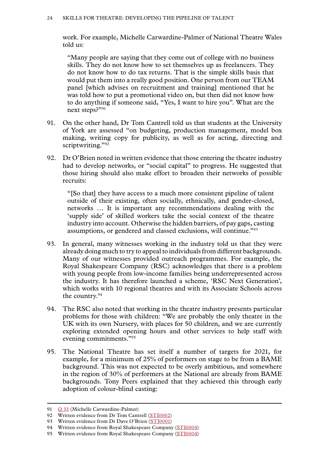work. For example, Michelle Carwardine-Palmer of National Theatre Wales told us:

"Many people are saying that they come out of college with no business skills. They do not know how to set themselves up as freelancers. They do not know how to do tax returns. That is the simple skills basis that would put them into a really good position. One person from our TEAM panel [which advises on recruitment and training] mentioned that he was told how to put a promotional video on, but then did not know how to do anything if someone said, "Yes, I want to hire you". What are the next steps?"91

- 91. On the other hand, Dr Tom Cantrell told us that students at the University of York are assessed "on budgeting, production management, model box making, writing copy for publicity, as well as for acting, directing and scriptwriting."92
- 92. Dr O'Brien noted in written evidence that those entering the theatre industry had to develop networks, or "social capital" to progress. He suggested that those hiring should also make effort to broaden their networks of possible recruits:

"[So that] they have access to a much more consistent pipeline of talent outside of their existing, often socially, ethnically, and gender-closed, networks … It is important any recommendations dealing with the 'supply side' of skilled workers take the social context of the theatre industry into account. Otherwise the hidden barriers, of pay gaps, casting assumptions, or gendered and classed exclusions, will continue."93

- 93. In general, many witnesses working in the industry told us that they were already doing much to try to appeal to individuals from different backgrounds. Many of our witnesses provided outreach programmes. For example, the Royal Shakespeare Company (RSC) acknowledges that there is a problem with young people from low-income families being underrepresented across the industry. It has therefore launched a scheme, 'RSC Next Generation', which works with 10 regional theatres and with its Associate Schools across the country.94
- 94. The RSC also noted that working in the theatre industry presents particular problems for those with children: "We are probably the only theatre in the UK with its own Nursery, with places for 50 children, and we are currently exploring extended opening hours and other services to help staff with evening commitments."95
- 95. The National Theatre has set itself a number of targets for 2021, for example, for a minimum of 25% of performers on stage to be from a BAME background. This was not expected to be overly ambitious, and somewhere in the region of 30% of performers at the National are already from BAME backgrounds. Tony Peers explained that they achieved this through early adoption of colour-blind casting:

<sup>91</sup> O [33](http://data.parliament.uk/writtenevidence/committeeevidence.svc/evidencedocument/communications-committee/skills-for-the-theatre-industry/oral/49384.html) (Michelle Carwardine-Palmer)

<sup>92</sup> Written evidence from Dr Tom Cantrell [\(STI0002\)](http://data.parliament.uk/writtenevidence/committeeevidence.svc/evidencedocument/communications-committee/skills-for-the-theatre-industry/written/69077.html)

<sup>93</sup> Written evidence from Dr Dave O'Brien [\(STI0001\)](http://data.parliament.uk/writtenevidence/committeeevidence.svc/evidencedocument/communications-committee/skills-for-the-theatre-industry/written/49846.html)

<sup>94</sup> Written evidence from Royal Shakespeare Company [\(STI0004\)](http://data.parliament.uk/writtenevidence/committeeevidence.svc/evidencedocument/communications-committee/skills-for-the-theatre-industry/written/69080.html)

<sup>95</sup> Written evidence from Royal Shakespeare Company [\(STI0004\)](http://data.parliament.uk/writtenevidence/committeeevidence.svc/evidencedocument/communications-committee/skills-for-the-theatre-industry/written/69080.html)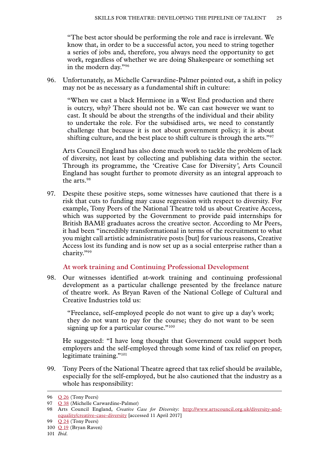<span id="page-26-0"></span>"The best actor should be performing the role and race is irrelevant. We know that, in order to be a successful actor, you need to string together a series of jobs and, therefore, you always need the opportunity to get work, regardless of whether we are doing Shakespeare or something set in the modern day."96

96. Unfortunately, as Michelle Carwardine-Palmer pointed out, a shift in policy may not be as necessary as a fundamental shift in culture:

"When we cast a black Hermione in a West End production and there is outcry, why? There should not be. We can cast however we want to cast. It should be about the strengths of the individual and their ability to undertake the role. For the subsidised arts, we need to constantly challenge that because it is not about government policy; it is about shifting culture, and the best place to shift culture is through the arts."97

Arts Council England has also done much work to tackle the problem of lack of diversity, not least by collecting and publishing data within the sector. Through its programme, the 'Creative Case for Diversity*'*, Arts Council England has sought further to promote diversity as an integral approach to the arts.98

97. Despite these positive steps, some witnesses have cautioned that there is a risk that cuts to funding may cause regression with respect to diversity. For example, Tony Peers of the National Theatre told us about Creative Access, which was supported by the Government to provide paid internships for British BAME graduates across the creative sector. According to Mr Peers, it had been "incredibly transformational in terms of the recruitment to what you might call artistic administrative posts [but] for various reasons, Creative Access lost its funding and is now set up as a social enterprise rather than a charity."99

# **At work training and Continuing Professional Development**

98. Our witnesses identified at-work training and continuing professional development as a particular challenge presented by the freelance nature of theatre work. As Bryan Raven of the National College of Cultural and Creative Industries told us:

"Freelance, self-employed people do not want to give up a day's work; they do not want to pay for the course; they do not want to be seen signing up for a particular course."<sup>100</sup>

He suggested: "I have long thought that Government could support both employers and the self-employed through some kind of tax relief on proper, legitimate training."<sup>101</sup>

99. Tony Peers of the National Theatre agreed that tax relief should be available, especially for the self-employed, but he also cautioned that the industry as a whole has responsibility:

<sup>96</sup> **Q 26** (Tony Peers)

<sup>97</sup> Q [38](http://data.parliament.uk/writtenevidence/committeeevidence.svc/evidencedocument/communications-committee/skills-for-the-theatre-industry/oral/49657.html) (Michelle Carwardine-Palmer)

<sup>98</sup> Arts Council England, *Creative Case for Diversity*: [http://www.artscouncil.org.uk/diversity-and](http://www.artscouncil.org.uk/diversity-and-equality/creative-case-diversity)[equality/creative-case-diversity](http://www.artscouncil.org.uk/diversity-and-equality/creative-case-diversity) [accessed 11 April 2017]

<sup>99</sup> Q [24](http://data.parliament.uk/writtenevidence/committeeevidence.svc/evidencedocument/communications-committee/skills-for-the-theatre-industry/oral/49383.html) (Tony Peers)

<sup>100</sup> Q [19](http://data.parliament.uk/writtenevidence/committeeevidence.svc/evidencedocument/communications-committee/skills-for-the-theatre-industry/oral/48994.html) (Bryan Raven)

<sup>101</sup> *Ibid.*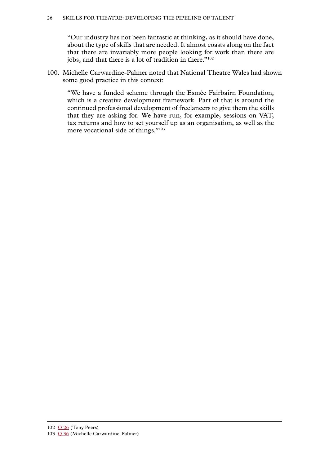"Our industry has not been fantastic at thinking, as it should have done, about the type of skills that are needed. It almost coasts along on the fact that there are invariably more people looking for work than there are jobs, and that there is a lot of tradition in there."<sup>102</sup>

100. Michelle Carwardine-Palmer noted that National Theatre Wales had shown some good practice in this context:

"We have a funded scheme through the Esmée Fairbairn Foundation, which is a creative development framework. Part of that is around the continued professional development of freelancers to give them the skills that they are asking for. We have run, for example, sessions on VAT, tax returns and how to set yourself up as an organisation, as well as the more vocational side of things."103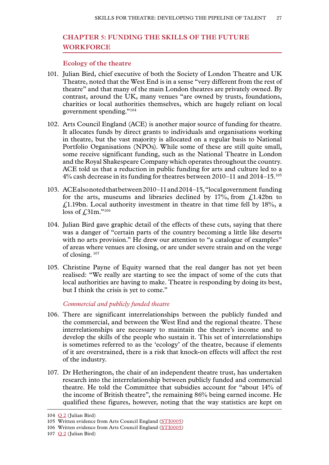# <span id="page-28-0"></span>**Chapter 5: FUNDING THE SKILLS OF THE FUTURE WORKFORCE**

# **Ecology of the theatre**

- 101. Julian Bird, chief executive of both the Society of London Theatre and UK Theatre, noted that the West End is in a sense "very different from the rest of theatre" and that many of the main London theatres are privately owned. By contrast, around the UK, many venues "are owned by trusts, foundations, charities or local authorities themselves, which are hugely reliant on local government spending."104
- 102. Arts Council England (ACE) is another major source of funding for theatre. It allocates funds by direct grants to individuals and organisations working in theatre, but the vast majority is allocated on a regular basis to National Portfolio Organisations (NPOs). While some of these are still quite small, some receive significant funding, such as the National Theatre in London and the Royal Shakespeare Company which operates throughout the country. ACE told us that a reduction in public funding for arts and culture led to a 4% cash decrease in its funding for theatres between 2010–11 and 2014–15.105
- 103. ACE also noted that between 2010–11 and 2014–15, "local government funding for the arts, museums and libraries declined by  $17\%$ , from £1.42bn to  $\angle$ 1.19bn. Local authority investment in theatre in that time fell by 18%, a loss of £31m."<sup>106</sup>
- 104. Julian Bird gave graphic detail of the effects of these cuts, saying that there was a danger of "certain parts of the country becoming a little like deserts with no arts provision." He drew our attention to "a catalogue of examples" of areas where venues are closing, or are under severe strain and on the verge of closing. <sup>107</sup>
- 105. Christine Payne of Equity warned that the real danger has not yet been realised: "We really are starting to see the impact of some of the cuts that local authorities are having to make. Theatre is responding by doing its best, but I think the crisis is yet to come."

*Commercial and publicly funded theatre*

- 106. There are significant interrelationships between the publicly funded and the commercial, and between the West End and the regional theatre. These interrelationships are necessary to maintain the theatre's income and to develop the skills of the people who sustain it. This set of interrelationships is sometimes referred to as the 'ecology' of the theatre, because if elements of it are overstrained, there is a risk that knock-on effects will affect the rest of the industry.
- 107. Dr Hetherington, the chair of an independent theatre trust, has undertaken research into the interrelationship between publicly funded and commercial theatre. He told the Committee that subsidies account for "about 14% of the income of British theatre", the remaining 86% being earned income. He qualified these figures, however, noting that the way statistics are kept on

<sup>104</sup> [Q](http://data.parliament.uk/writtenevidence/committeeevidence.svc/evidencedocument/communications-committee/skills-for-the-theatre-industry/oral/48993.html) 2 (Julian Bird)

<sup>105</sup> Written evidence from Arts Council England ([STI0005\)](http://data.parliament.uk/writtenevidence/committeeevidence.svc/evidencedocument/communications-committee/skills-for-the-theatre-industry/written/69081.html)

<sup>106</sup> Written evidence from Arts Council England ([STI0005\)](http://data.parliament.uk/writtenevidence/committeeevidence.svc/evidencedocument/communications-committee/skills-for-the-theatre-industry/written/69081.html)

<sup>107</sup>  $Q_2$  $Q_2$  (Julian Bird)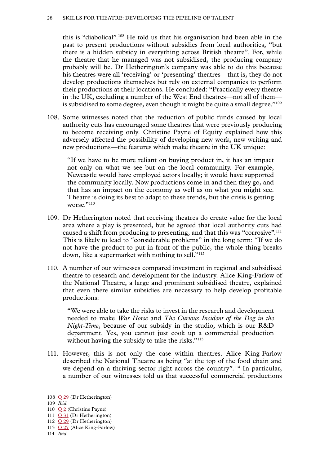this is "diabolical".108 He told us that his organisation had been able in the past to present productions without subsidies from local authorities, "but there is a hidden subsidy in everything across British theatre". For, while the theatre that he managed was not subsidised, the producing company probably will be. Dr Hetherington's company was able to do this because his theatres were all 'receiving' or 'presenting' theatres—that is, they do not develop productions themselves but rely on external companies to perform their productions at their locations. He concluded: "Practically every theatre in the UK, excluding a number of the West End theatres—not all of them is subsidised to some degree, even though it might be quite a small degree."109

108. Some witnesses noted that the reduction of public funds caused by local authority cuts has encouraged some theatres that were previously producing to become receiving only. Christine Payne of Equity explained how this adversely affected the possibility of developing new work, new writing and new productions—the features which make theatre in the UK unique:

"If we have to be more reliant on buying product in, it has an impact not only on what we see but on the local community. For example, Newcastle would have employed actors locally; it would have supported the community locally. Now productions come in and then they go, and that has an impact on the economy as well as on what you might see. Theatre is doing its best to adapt to these trends, but the crisis is getting worse $"$ <sup>110</sup>

- 109. Dr Hetherington noted that receiving theatres do create value for the local area where a play is presented, but he agreed that local authority cuts had caused a shift from producing to presenting, and that this was "corrosive".<sup>111</sup> This is likely to lead to "considerable problems" in the long term: "If we do not have the product to put in front of the public, the whole thing breaks down, like a supermarket with nothing to sell."<sup>112</sup>
- 110. A number of our witnesses compared investment in regional and subsidised theatre to research and development for the industry. Alice King-Farlow of the National Theatre, a large and prominent subsidised theatre, explained that even there similar subsidies are necessary to help develop profitable productions:

"We were able to take the risks to invest in the research and development needed to make *War Horse* and *The Curious Incident of the Dog in the Night-Time*, because of our subsidy in the studio, which is our R&D department. Yes, you cannot just cook up a commercial production without having the subsidy to take the risks."<sup>113</sup>

111. However, this is not only the case within theatres. Alice King-Farlow described the National Theatre as being "at the top of the food chain and we depend on a thriving sector right across the country".<sup>114</sup> In particular, a number of our witnesses told us that successful commercial productions

<sup>108</sup> Q [29](http://data.parliament.uk/writtenevidence/committeeevidence.svc/evidencedocument/communications-committee/skills-for-the-theatre-industry/oral/49384.html) (Dr Hetherington)

<sup>109</sup> *Ibid.*

<sup>110</sup> [Q](http://data.parliament.uk/writtenevidence/committeeevidence.svc/evidencedocument/communications-committee/skills-for-the-theatre-industry/oral/48993.html) 2 (Christine Payne)

<sup>111</sup> Q [31](http://data.parliament.uk/writtenevidence/committeeevidence.svc/evidencedocument/communications-committee/skills-for-the-theatre-industry/oral/49384.html) (Dr Hetherington)

<sup>112</sup> Q [29](http://data.parliament.uk/writtenevidence/committeeevidence.svc/evidencedocument/communications-committee/skills-for-the-theatre-industry/oral/49384.html) (Dr Hetherington)

<sup>113</sup> Q [27](http://data.parliament.uk/writtenevidence/committeeevidence.svc/evidencedocument/communications-committee/skills-for-the-theatre-industry/oral/49383.html) (Alice King-Farlow)

<sup>114</sup> *[Ibid.](http://data.parliament.uk/writtenevidence/committeeevidence.svc/evidencedocument/communications-committee/skills-for-the-theatre-industry/oral/49383.html)*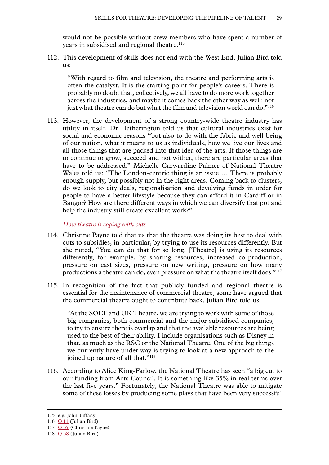<span id="page-30-0"></span>would not be possible without crew members who have spent a number of years in subsidised and regional theatre.<sup>115</sup>

112. This development of skills does not end with the West End. Julian Bird told  $11S$ 

"With regard to film and television, the theatre and performing arts is often the catalyst. It is the starting point for people's careers. There is probably no doubt that, collectively, we all have to do more work together across the industries, and maybe it comes back the other way as well: not just what theatre can do but what the film and television world can do."<sup>116</sup>

113. However, the development of a strong country-wide theatre industry has utility in itself. Dr Hetherington told us that cultural industries exist for social and economic reasons "but also to do with the fabric and well-being of our nation, what it means to us as individuals, how we live our lives and all those things that are packed into that idea of the arts. If those things are to continue to grow, succeed and not wither, there are particular areas that have to be addressed." Michelle Carwardine-Palmer of National Theatre Wales told us: "The London-centric thing is an issue … There is probably enough supply, but possibly not in the right areas. Coming back to clusters, do we look to city deals, regionalisation and devolving funds in order for people to have a better lifestyle because they can afford it in Cardiff or in Bangor? How are there different ways in which we can diversify that pot and help the industry still create excellent work?"

*How theatre is coping with cuts*

- 114. Christine Payne told that us that the theatre was doing its best to deal with cuts to subsidies, in particular, by trying to use its resources differently. But she noted, "You can do that for so long. [Theatre] is using its resources differently, for example, by sharing resources, increased co-production, pressure on cast sizes, pressure on new writing, pressure on how many productions a theatre can do, even pressure on what the theatre itself does."117
- 115. In recognition of the fact that publicly funded and regional theatre is essential for the maintenance of commercial theatre, some have argued that the commercial theatre ought to contribute back. Julian Bird told us:

"At the SOLT and UK Theatre, we are trying to work with some of those big companies, both commercial and the major subsidised companies, to try to ensure there is overlap and that the available resources are being used to the best of their ability. I include organisations such as Disney in that, as much as the RSC or the National Theatre. One of the big things we currently have under way is trying to look at a new approach to the joined up nature of all that."<sup>118</sup>

116. According to Alice King-Farlow, the National Theatre has seen "a big cut to our funding from Arts Council. It is something like 35% in real terms over the last five years." Fortunately, the National Theatre was able to mitigate some of these losses by producing some plays that have been very successful

<sup>115</sup> e.g. John Tiffany

<sup>116</sup> Q [11](http://data.parliament.uk/writtenevidence/committeeevidence.svc/evidencedocument/communications-committee/skills-for-the-theatre-industry/oral/48993.html) (Julian Bird)

<sup>117</sup> Q [57](http://data.parliament.uk/writtenevidence/committeeevidence.svc/evidencedocument/communications-committee/skills-for-the-theatre-industry/oral/48993.html) (Christine Payne)

<sup>118</sup> Q [58](http://data.parliament.uk/writtenevidence/committeeevidence.svc/evidencedocument/communications-committee/skills-for-the-theatre-industry/oral/48993.html) (Julian Bird)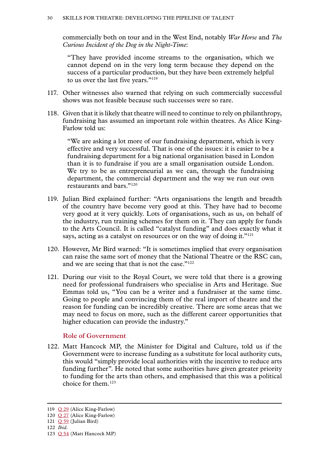<span id="page-31-0"></span>commercially both on tour and in the West End, notably *War Horse* and *The Curious Incident of the Dog in the Night-Time*:

"They have provided income streams to the organisation, which we cannot depend on in the very long term because they depend on the success of a particular production, but they have been extremely helpful to us over the last five years."<sup>119</sup>

- 117. Other witnesses also warned that relying on such commercially successful shows was not feasible because such successes were so rare.
- 118. Given that it is likely that theatre will need to continue to rely on philanthropy, fundraising has assumed an important role within theatres. As Alice King-Farlow told us:

"We are asking a lot more of our fundraising department, which is very effective and very successful. That is one of the issues: it is easier to be a fundraising department for a big national organisation based in London than it is to fundraise if you are a small organisation outside London. We try to be as entrepreneurial as we can, through the fundraising department, the commercial department and the way we run our own restaurants and bars."120

- 119. Julian Bird explained further: "Arts organisations the length and breadth of the country have become very good at this. They have had to become very good at it very quickly. Lots of organisations, such as us, on behalf of the industry, run training schemes for them on it. They can apply for funds to the Arts Council. It is called "catalyst funding" and does exactly what it says, acting as a catalyst on resources or on the way of doing it."<sup>121</sup>
- 120. However, Mr Bird warned: "It is sometimes implied that every organisation can raise the same sort of money that the National Theatre or the RSC can, and we are seeing that that is not the case."<sup>122</sup>
- 121. During our visit to the Royal Court, we were told that there is a growing need for professional fundraisers who specialise in Arts and Heritage. Sue Emmas told us, "You can be a writer and a fundraiser at the same time. Going to people and convincing them of the real import of theatre and the reason for funding can be incredibly creative. There are some areas that we may need to focus on more, such as the different career opportunities that higher education can provide the industry."

# **Role of Government**

122. Matt Hancock MP, the Minister for Digital and Culture, told us if the Government were to increase funding as a substitute for local authority cuts, this would "simply provide local authorities with the incentive to reduce arts funding further". He noted that some authorities have given greater priority to funding for the arts than others, and emphasised that this was a political choice for them.123

<sup>119</sup> Q [29](http://data.parliament.uk/writtenevidence/committeeevidence.svc/evidencedocument/communications-committee/skills-for-the-theatre-industry/oral/49384.html) (Alice King-Farlow)

<sup>120</sup> Q [27](http://data.parliament.uk/writtenevidence/committeeevidence.svc/evidencedocument/communications-committee/skills-for-the-theatre-industry/oral/49383.html) (Alice King-Farlow)

<sup>121</sup> Q [59](http://data.parliament.uk/writtenevidence/committeeevidence.svc/evidencedocument/communications-committee/skills-for-the-theatre-industry/oral/48993.html) (Julian Bird)

<sup>122</sup> *Ibid.*

<sup>123</sup>  $Q$  [54](http://data.parliament.uk/writtenevidence/committeeevidence.svc/evidencedocument/communications-committee/skills-for-the-theatre-industry/oral/49659.html) (Matt Hancock MP)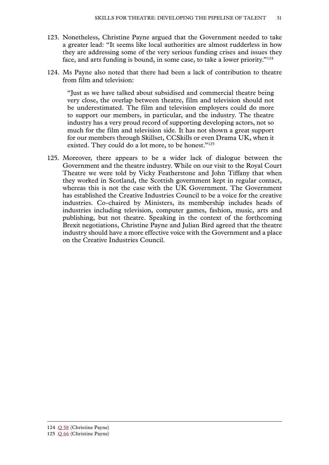- 123. Nonetheless, Christine Payne argued that the Government needed to take a greater lead: "It seems like local authorities are almost rudderless in how they are addressing some of the very serious funding crises and issues they face, and arts funding is bound, in some case, to take a lower priority."124
- 124. Ms Payne also noted that there had been a lack of contribution to theatre from film and television:

"Just as we have talked about subsidised and commercial theatre being very close, the overlap between theatre, film and television should not be underestimated. The film and television employers could do more to support our members, in particular, and the industry. The theatre industry has a very proud record of supporting developing actors, not so much for the film and television side. It has not shown a great support for our members through Skillset, CCSkills or even Drama UK, when it existed. They could do a lot more, to be honest."<sup>125</sup>

125. Moreover, there appears to be a wider lack of dialogue between the Government and the theatre industry. While on our visit to the Royal Court Theatre we were told by Vicky Featherstone and John Tiffany that when they worked in Scotland, the Scottish government kept in regular contact, whereas this is not the case with the UK Government. The Government has established the Creative Industries Council to be a voice for the creative industries. Co-chaired by Ministers, its membership includes heads of industries including television, computer games, fashion, music, arts and publishing, but not theatre. Speaking in the context of the forthcoming Brexit negotiations, Christine Payne and Julian Bird agreed that the theatre industry should have a more effective voice with the Government and a place on the Creative Industries Council.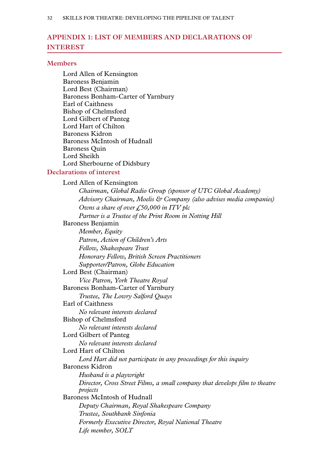# <span id="page-33-0"></span>**Appendix 1: LIST OF MEMBERS AND DECLARATIONS OF INTEREST**

#### **Members**

Lord Allen of Kensington Baroness Benjamin Lord Best (Chairman) Baroness Bonham-Carter of Yarnbury Earl of Caithness Bishop of Chelmsford Lord Gilbert of Panteg Lord Hart of Chilton Baroness Kidron Baroness McIntosh of Hudnall Baroness Quin Lord Sheikh Lord Sherbourne of Didsbury

# **Declarations of interest**

Lord Allen of Kensington *Chairman, Global Radio Group (sponsor of UTC Global Academy) Advisory Chairman, Moelis & Company (also advises media companies) Owns a share of over £50,000 in ITV plc Partner is a Trustee of the Print Room in Notting Hill* Baroness Benjamin *Member, Equity Patron, Action of Children's Arts Fellow, Shakespeare Trust Honorary Fellow, British Screen Practitioners Supporter/Patron, Globe Education* Lord Best (Chairman) *Vice Patron, York Theatre Royal* Baroness Bonham-Carter of Yarnbury *Trustee, The Lowry Salford Quays* Earl of Caithness *No relevant interests declared* Bishop of Chelmsford *No relevant interests declared* Lord Gilbert of Panteg *No relevant interests declared* Lord Hart of Chilton *Lord Hart did not participate in any proceedings for this inquiry* Baroness Kidron *Husband is a playwright Director, Cross Street Films, a small company that develops film to theatre projects* Baroness McIntosh of Hudnall *Deputy Chairman, Royal Shakespeare Company Trustee, Southbank Sinfonia Formerly Executive Director, Royal National Theatre Life member, SOLT*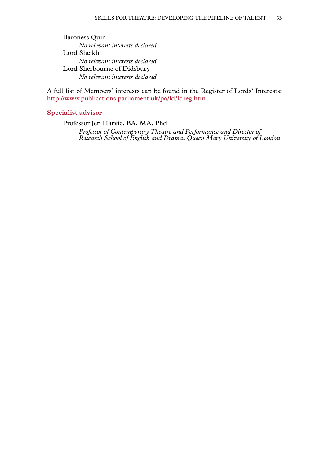Baroness Quin *No relevant interests declared* Lord Sheikh *No relevant interests declared* Lord Sherbourne of Didsbury *No relevant interests declared*

A full list of Members' interests can be found in the Register of Lords' Interests: <http://www.publications.parliament.uk/pa/ld/ldreg.htm>

# **Specialist advisor**

Professor Jen Harvie, BA, MA, Phd *Professor of Contemporary Theatre and Performance and Director of Research School of English and Drama, Queen Mary University of London*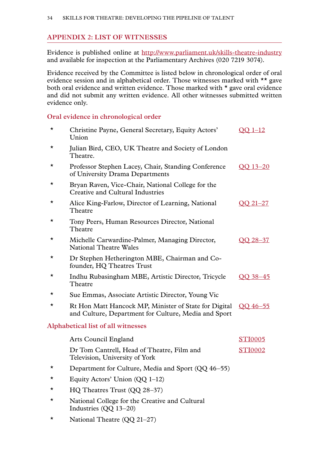# <span id="page-35-0"></span>**Appendix 2: LIST OF WITNESSES**

Evidence is published online at [http://www.parliament.uk/](http://www.parliament.uk/skills-theatre-industry )skills-theatre-industry and available for inspection at the Parliamentary Archives (020 7219 3074).

Evidence received by the Committee is listed below in chronological order of oral evidence session and in alphabetical order. Those witnesses marked with \*\* gave both oral evidence and written evidence. Those marked with \* gave oral evidence and did not submit any written evidence. All other witnesses submitted written evidence only.

# **Oral evidence in chronological order**

| $\star$  | Christine Payne, General Secretary, Equity Actors'<br>Union                                                   | $OO$ 1-12      |
|----------|---------------------------------------------------------------------------------------------------------------|----------------|
| $^\star$ | Julian Bird, CEO, UK Theatre and Society of London<br>Theatre.                                                |                |
| *        | Professor Stephen Lacey, Chair, Standing Conference<br>of University Drama Departments                        | OO 13-20       |
| *        | Bryan Raven, Vice-Chair, National College for the<br>Creative and Cultural Industries                         |                |
| *        | Alice King-Farlow, Director of Learning, National<br>Theatre                                                  | OO 21-27       |
| *        | Tony Peers, Human Resources Director, National<br>Theatre                                                     |                |
| *        | Michelle Carwardine-Palmer, Managing Director,<br><b>National Theatre Wales</b>                               | OO 28-37       |
| *        | Dr Stephen Hetherington MBE, Chairman and Co-<br>founder, HQ Theatres Trust                                   |                |
| $^\star$ | Indhu Rubasingham MBE, Artistic Director, Tricycle<br>Theatre                                                 | OO 38-45       |
| *        | Sue Emmas, Associate Artistic Director, Young Vic                                                             |                |
| $^\star$ | Rt Hon Matt Hancock MP, Minister of State for Digital<br>and Culture, Department for Culture, Media and Sport | OO 46-55       |
|          | Alphabetical list of all witnesses                                                                            |                |
|          | <b>Arts Council England</b>                                                                                   | <b>STI0005</b> |
|          | Dr Tom Cantrell, Head of Theatre, Film and<br>Television, University of York                                  | <b>STI0002</b> |
| *        | Department for Culture, Media and Sport (QQ 46–55)                                                            |                |
| *        | Equity Actors' Union $(QQ 1-12)$                                                                              |                |
| *        | HQ Theatres Trust (QQ 28-37)                                                                                  |                |
| $^\star$ | National College for the Creative and Cultural                                                                |                |

- Industries (QQ 13–20)
- \* National Theatre (QQ 21–27)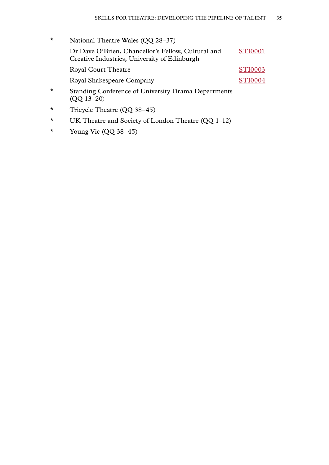- \* National Theatre Wales (QQ 28–37) Dr Dave O'Brien, Chancellor's Fellow, Cultural and Creative Industries, University of Edinburgh [STI0001](http://data.parliament.uk/writtenevidence/committeeevidence.svc/evidencedocument/communications-committee/skills-for-the-theatre-industry/written/49846.html) Royal Court Theatre [STI0003](http://data.parliament.uk/writtenevidence/committeeevidence.svc/evidencedocument/communications-committee/skills-for-the-theatre-industry/written/69079.html) Royal Shakespeare Company [STI0004](http://data.parliament.uk/writtenevidence/committeeevidence.svc/evidencedocument/communications-committee/skills-for-the-theatre-industry/written/69080.html) \* Standing Conference of University Drama Departments (QQ 13–20)
- \* Tricycle Theatre (QQ 38–45)
- \* UK Theatre and Society of London Theatre (QQ 1–12)
- \* Young Vic  $(QQ 38-45)$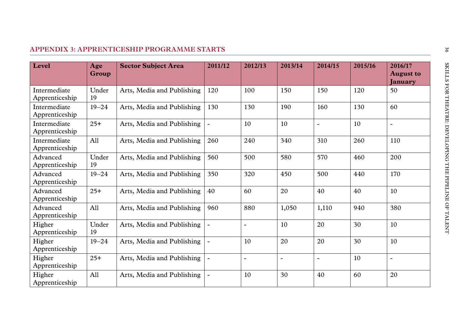# <span id="page-37-0"></span>**Appendix 3: APPRENTICESHIP PROGRAMME STARTS**

| Level                          | Age<br>Group | <b>Sector Subject Area</b> | 2011/12 | 2012/13           | 2013/14        | 2014/15        | 2015/16 | 2016/17<br><b>August to</b><br>January |
|--------------------------------|--------------|----------------------------|---------|-------------------|----------------|----------------|---------|----------------------------------------|
| Intermediate<br>Apprenticeship | Under<br>19  | Arts, Media and Publishing | 120     | 100               | 150            | 150            | 120     | 50                                     |
| Intermediate<br>Apprenticeship | $19 - 24$    | Arts, Media and Publishing | 130     | 130               | 190            | 160            | 130     | 60                                     |
| Intermediate<br>Apprenticeship | $25+$        | Arts, Media and Publishing |         | 10                | 10             | $\blacksquare$ | 10      | $\blacksquare$                         |
| Intermediate<br>Apprenticeship | All          | Arts, Media and Publishing | 260     | 240               | 340            | 310            | 260     | 110                                    |
| Advanced<br>Apprenticeship     | Under<br>19  | Arts, Media and Publishing | 560     | 500               | 580            | 570            | 460     | 200                                    |
| Advanced<br>Apprenticeship     | $19 - 24$    | Arts, Media and Publishing | 350     | 320               | 450            | 500            | 440     | 170                                    |
| Advanced<br>Apprenticeship     | $25+$        | Arts, Media and Publishing | 40      | 60                | 20             | 40             | 40      | 10                                     |
| Advanced<br>Apprenticeship     | A11          | Arts, Media and Publishing | 960     | 880               | 1,050          | 1,110          | 940     | 380                                    |
| Higher<br>Apprenticeship       | Under<br>19  | Arts, Media and Publishing |         | $\qquad \qquad -$ | 10             | 20             | 30      | 10                                     |
| Higher<br>Apprenticeship       | $19 - 24$    | Arts, Media and Publishing |         | 10                | 20             | 20             | 30      | 10                                     |
| Higher<br>Apprenticeship       | $25+$        | Arts, Media and Publishing |         | $\qquad \qquad -$ | $\blacksquare$ | $\blacksquare$ | 10      | $\blacksquare$                         |
| Higher<br>Apprenticeship       | All          | Arts, Media and Publishing |         | 10                | 30             | 40             | 60      | 20                                     |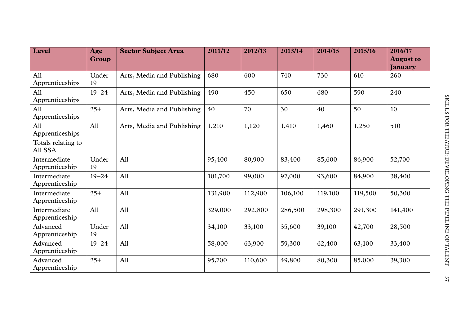| <b>Level</b>                   | Age<br>Group | <b>Sector Subject Area</b> | 2011/12 | 2012/13 | 2013/14 | 2014/15 | 2015/16 | 2016/17<br><b>August to</b><br><b>January</b> |
|--------------------------------|--------------|----------------------------|---------|---------|---------|---------|---------|-----------------------------------------------|
| All<br>Apprenticeships         | Under<br>19  | Arts, Media and Publishing | 680     | 600     | 740     | 730     | 610     | 260                                           |
| All<br>Apprenticeships         | $19 - 24$    | Arts, Media and Publishing | 490     | 450     | 650     | 680     | 590     | 240                                           |
| All<br>Apprenticeships         | $25+$        | Arts, Media and Publishing | 40      | 70      | 30      | 40      | 50      | 10                                            |
| All<br>Apprenticeships         | All          | Arts, Media and Publishing | 1,210   | 1,120   | 1,410   | 1,460   | 1,250   | 510                                           |
| Totals relating to<br>All SSA  |              |                            |         |         |         |         |         |                                               |
| Intermediate<br>Apprenticeship | Under<br>19  | All                        | 95,400  | 80,900  | 83,400  | 85,600  | 86,900  | 52,700                                        |
| Intermediate<br>Apprenticeship | $19 - 24$    | All                        | 101,700 | 99,000  | 97,000  | 93,600  | 84,900  | 38,400                                        |
| Intermediate<br>Apprenticeship | $25+$        | All                        | 131,900 | 112,900 | 106,100 | 119,100 | 119,500 | 50,300                                        |
| Intermediate<br>Apprenticeship | All          | All                        | 329,000 | 292,800 | 286,500 | 298,300 | 291,300 | 141,400                                       |
| Advanced<br>Apprenticeship     | Under<br>19  | All                        | 34,100  | 33,100  | 35,600  | 39,100  | 42,700  | 28,500                                        |
| Advanced<br>Apprenticeship     | $19 - 24$    | All                        | 58,000  | 63,900  | 59,300  | 62,400  | 63,100  | 33,400                                        |
| Advanced<br>Apprenticeship     | $25+$        | All                        | 95,700  | 110,600 | 49,800  | 80,300  | 85,000  | 39,300                                        |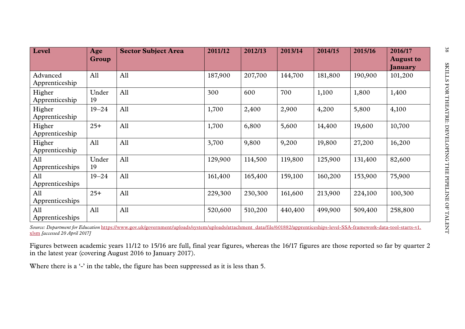| Level                      | Age          | <b>Sector Subject Area</b> | 2011/12 | 2012/13 | 2013/14 | 2014/15 | 2015/16 | 2016/17                     |
|----------------------------|--------------|----------------------------|---------|---------|---------|---------|---------|-----------------------------|
|                            | <b>Group</b> |                            |         |         |         |         |         | <b>August to</b><br>January |
| Advanced<br>Apprenticeship | All          | All                        | 187,900 | 207,700 | 144,700 | 181,800 | 190,900 | 101,200                     |
| Higher<br>Apprenticeship   | Under<br>19  | All                        | 300     | 600     | 700     | 1,100   | 1,800   | 1,400                       |
| Higher<br>Apprenticeship   | $19 - 24$    | All                        | 1,700   | 2,400   | 2,900   | 4,200   | 5,800   | 4,100                       |
| Higher<br>Apprenticeship   | $25+$        | All                        | 1,700   | 6,800   | 5,600   | 14,400  | 19,600  | 10,700                      |
| Higher<br>Apprenticeship   | All          | All                        | 3,700   | 9,800   | 9,200   | 19,800  | 27,200  | 16,200                      |
| All<br>Apprenticeships     | Under<br>19  | All                        | 129,900 | 114,500 | 119,800 | 125,900 | 131,400 | 82,600                      |
| All<br>Apprenticeships     | $19 - 24$    | All                        | 161,400 | 165,400 | 159,100 | 160,200 | 153,900 | 75,900                      |
| All<br>Apprenticeships     | $25+$        | All                        | 229,300 | 230,300 | 161,600 | 213,900 | 224,100 | 100,300                     |
| All<br>Apprenticeships     | All          | All                        | 520,600 | 510,200 | 440,400 | 499,900 | 509,400 | 258,800                     |

*Source: Department for Education* [https://www.gov.uk/government/uploads/system/uploads/attachment\\_data/file/601882/apprenticeships-level-SSA-framework-data-tool-starts-v1.](https://www.gov.uk/government/uploads/system/uploads/attachment_data/file/601882/apprenticeships-level-SSA-framework-data-tool-starts-v1.xlsm) [xlsm](https://www.gov.uk/government/uploads/system/uploads/attachment_data/file/601882/apprenticeships-level-SSA-framework-data-tool-starts-v1.xlsm) *[accessed 20 April 2017]*

Figures between academic years 11/12 to 15/16 are full, final year figures, whereas the 16/17 figures are those reported so far by quarter 2 in the latest year (covering August 2016 to January 2017).

Where there is a '-' in the table, the figure has been suppressed as it is less than 5.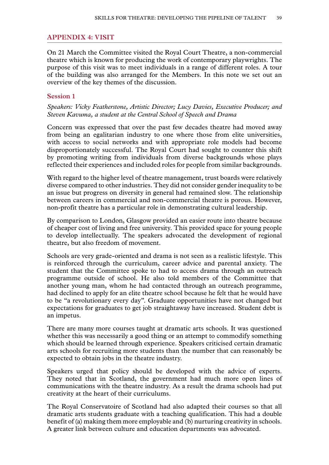# <span id="page-40-0"></span>**Appendix 4: VISIT**

On 21 March the Committee visited the Royal Court Theatre, a non-commercial theatre which is known for producing the work of contemporary playwrights. The purpose of this visit was to meet individuals in a range of different roles. A tour of the building was also arranged for the Members. In this note we set out an overview of the key themes of the discussion.

#### **Session 1**

*Speakers: Vicky Featherstone, Artistic Director; Lucy Davies, Executive Producer; and Steven Kavuma, a student at the Central School of Speech and Drama*

Concern was expressed that over the past few decades theatre had moved away from being an egalitarian industry to one where those from elite universities, with access to social networks and with appropriate role models had become disproportionately successful. The Royal Court had sought to counter this shift by promoting writing from individuals from diverse backgrounds whose plays reflected their experiences and included roles for people from similar backgrounds.

With regard to the higher level of theatre management, trust boards were relatively diverse compared to other industries. They did not consider gender inequality to be an issue but progress on diversity in general had remained slow. The relationship between careers in commercial and non-commercial theatre is porous. However, non-profit theatre has a particular role in demonstrating cultural leadership.

By comparison to London, Glasgow provided an easier route into theatre because of cheaper cost of living and free university. This provided space for young people to develop intellectually. The speakers advocated the development of regional theatre, but also freedom of movement.

Schools are very grade-oriented and drama is not seen as a realistic lifestyle. This is reinforced through the curriculum, career advice and parental anxiety. The student that the Committee spoke to had to access drama through an outreach programme outside of school. He also told members of the Committee that another young man, whom he had contacted through an outreach programme, had declined to apply for an elite theatre school because he felt that he would have to be "a revolutionary every day". Graduate opportunities have not changed but expectations for graduates to get job straightaway have increased. Student debt is an impetus.

There are many more courses taught at dramatic arts schools. It was questioned whether this was necessarily a good thing or an attempt to commodify something which should be learned through experience. Speakers criticised certain dramatic arts schools for recruiting more students than the number that can reasonably be expected to obtain jobs in the theatre industry.

Speakers urged that policy should be developed with the advice of experts. They noted that in Scotland, the government had much more open lines of communications with the theatre industry. As a result the drama schools had put creativity at the heart of their curriculums.

The Royal Conservatoire of Scotland had also adapted their courses so that all dramatic arts students graduate with a teaching qualification. This had a double benefit of (a) making them more employable and (b) nurturing creativity in schools. A greater link between culture and education departments was advocated.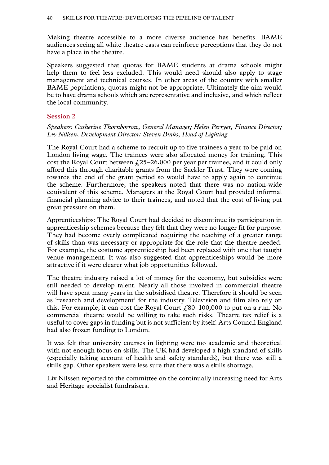Making theatre accessible to a more diverse audience has benefits. BAME audiences seeing all white theatre casts can reinforce perceptions that they do not have a place in the theatre.

Speakers suggested that quotas for BAME students at drama schools might help them to feel less excluded. This would need should also apply to stage management and technical courses. In other areas of the country with smaller BAME populations, quotas might not be appropriate. Ultimately the aim would be to have drama schools which are representative and inclusive, and which reflect the local community.

# **Session 2**

# *Speakers: Catherine Thornborrow, General Manager; Helen Perryer, Finance Director; Liv Nillsen, Development Director; Steven Binks, Head of Lighting*

The Royal Court had a scheme to recruit up to five trainees a year to be paid on London living wage. The trainees were also allocated money for training. This cost the Royal Court between  $\ell$  (25–26,000 per year per trainee, and it could only afford this through charitable grants from the Sackler Trust. They were coming towards the end of the grant period so would have to apply again to continue the scheme. Furthermore, the speakers noted that there was no nation-wide equivalent of this scheme. Managers at the Royal Court had provided informal financial planning advice to their trainees, and noted that the cost of living put great pressure on them.

Apprenticeships: The Royal Court had decided to discontinue its participation in apprenticeship schemes because they felt that they were no longer fit for purpose. They had become overly complicated requiring the teaching of a greater range of skills than was necessary or appropriate for the role that the theatre needed. For example, the costume apprenticeship had been replaced with one that taught venue management. It was also suggested that apprenticeships would be more attractive if it were clearer what job opportunities followed.

The theatre industry raised a lot of money for the economy, but subsidies were still needed to develop talent. Nearly all those involved in commercial theatre will have spent many years in the subsidised theatre. Therefore it should be seen as 'research and development' for the industry. Television and film also rely on this. For example, it can cost the Royal Court  $\text{\emph{f}}_380-100,000$  to put on a run. No commercial theatre would be willing to take such risks. Theatre tax relief is a useful to cover gaps in funding but is not sufficient by itself. Arts Council England had also frozen funding to London.

It was felt that university courses in lighting were too academic and theoretical with not enough focus on skills. The UK had developed a high standard of skills (especially taking account of health and safety standards), but there was still a skills gap. Other speakers were less sure that there was a skills shortage.

Liv Nilssen reported to the committee on the continually increasing need for Arts and Heritage specialist fundraisers.